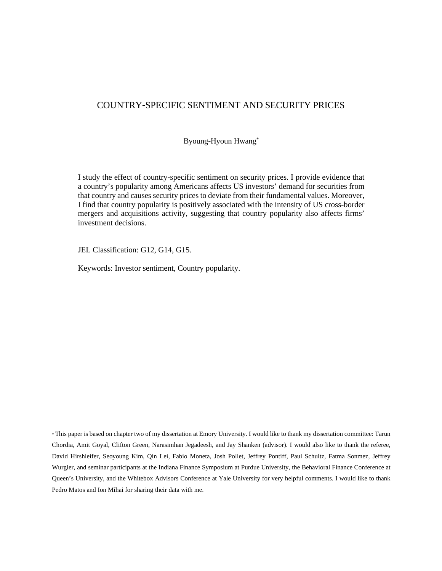## COUNTRY-SPECIFIC SENTIMENT AND SECURITY PRICES

Byoung-Hyoun Hwang\*

I study the effect of country-specific sentiment on security prices. I provide evidence that a country's popularity among Americans affects US investors' demand for securities from that country and causes security prices to deviate from their fundamental values. Moreover, I find that country popularity is positively associated with the intensity of US cross-border mergers and acquisitions activity, suggesting that country popularity also affects firms' investment decisions.

JEL Classification: G12, G14, G15.

Keywords: Investor sentiment, Country popularity.

\* This paper is based on chapter two of my dissertation at Emory University. I would like to thank my dissertation committee: Tarun Chordia, Amit Goyal, Clifton Green, Narasimhan Jegadeesh, and Jay Shanken (advisor). I would also like to thank the referee, David Hirshleifer, Seoyoung Kim, Qin Lei, Fabio Moneta, Josh Pollet, Jeffrey Pontiff, Paul Schultz, Fatma Sonmez, Jeffrey Wurgler, and seminar participants at the Indiana Finance Symposium at Purdue University, the Behavioral Finance Conference at Queen's University, and the Whitebox Advisors Conference at Yale University for very helpful comments. I would like to thank Pedro Matos and Ion Mihai for sharing their data with me.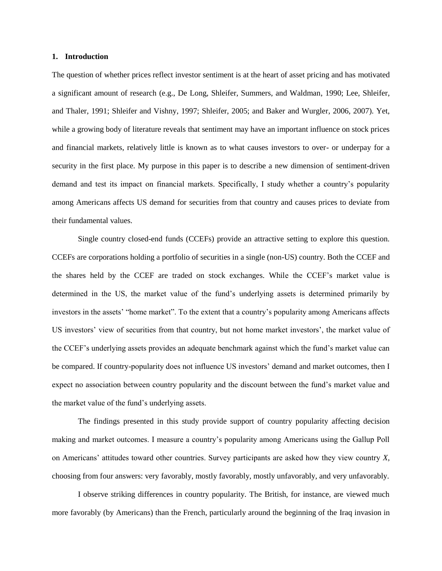### **1. Introduction**

The question of whether prices reflect investor sentiment is at the heart of asset pricing and has motivated a significant amount of research (e.g., De Long, Shleifer, Summers, and Waldman, 1990; Lee, Shleifer, and Thaler, 1991; Shleifer and Vishny, 1997; Shleifer, 2005; and Baker and Wurgler, 2006, 2007). Yet, while a growing body of literature reveals that sentiment may have an important influence on stock prices and financial markets, relatively little is known as to what causes investors to over- or underpay for a security in the first place. My purpose in this paper is to describe a new dimension of sentiment-driven demand and test its impact on financial markets. Specifically, I study whether a country's popularity among Americans affects US demand for securities from that country and causes prices to deviate from their fundamental values.

Single country closed-end funds (CCEFs) provide an attractive setting to explore this question. CCEFs are corporations holding a portfolio of securities in a single (non-US) country. Both the CCEF and the shares held by the CCEF are traded on stock exchanges. While the CCEF's market value is determined in the US, the market value of the fund's underlying assets is determined primarily by investors in the assets' "home market". To the extent that a country's popularity among Americans affects US investors' view of securities from that country, but not home market investors', the market value of the CCEF's underlying assets provides an adequate benchmark against which the fund's market value can be compared. If country-popularity does not influence US investors' demand and market outcomes, then I expect no association between country popularity and the discount between the fund's market value and the market value of the fund's underlying assets.

The findings presented in this study provide support of country popularity affecting decision making and market outcomes. I measure a country's popularity among Americans using the Gallup Poll on Americans' attitudes toward other countries. Survey participants are asked how they view country *X*, choosing from four answers: very favorably, mostly favorably, mostly unfavorably, and very unfavorably.

I observe striking differences in country popularity. The British, for instance, are viewed much more favorably (by Americans) than the French, particularly around the beginning of the Iraq invasion in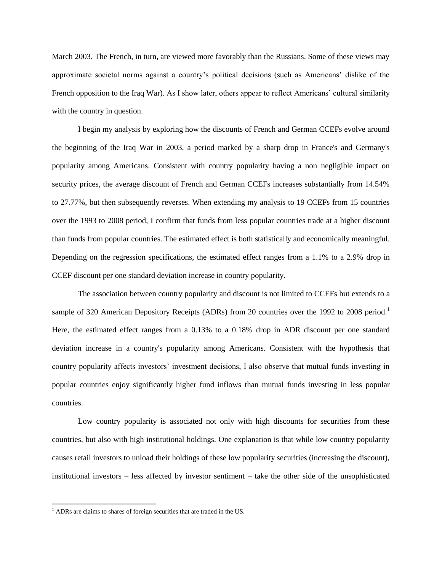March 2003. The French, in turn, are viewed more favorably than the Russians. Some of these views may approximate societal norms against a country's political decisions (such as Americans' dislike of the French opposition to the Iraq War). As I show later, others appear to reflect Americans' cultural similarity with the country in question.

I begin my analysis by exploring how the discounts of French and German CCEFs evolve around the beginning of the Iraq War in 2003, a period marked by a sharp drop in France's and Germany's popularity among Americans. Consistent with country popularity having a non negligible impact on security prices, the average discount of French and German CCEFs increases substantially from 14.54% to 27.77%, but then subsequently reverses. When extending my analysis to 19 CCEFs from 15 countries over the 1993 to 2008 period, I confirm that funds from less popular countries trade at a higher discount than funds from popular countries. The estimated effect is both statistically and economically meaningful. Depending on the regression specifications, the estimated effect ranges from a 1.1% to a 2.9% drop in CCEF discount per one standard deviation increase in country popularity.

The association between country popularity and discount is not limited to CCEFs but extends to a sample of 320 American Depository Receipts (ADRs) from 20 countries over the 1992 to 2008 period.<sup>1</sup> Here, the estimated effect ranges from a 0.13% to a 0.18% drop in ADR discount per one standard deviation increase in a country's popularity among Americans. Consistent with the hypothesis that country popularity affects investors' investment decisions, I also observe that mutual funds investing in popular countries enjoy significantly higher fund inflows than mutual funds investing in less popular countries.

Low country popularity is associated not only with high discounts for securities from these countries, but also with high institutional holdings. One explanation is that while low country popularity causes retail investors to unload their holdings of these low popularity securities (increasing the discount), institutional investors – less affected by investor sentiment – take the other side of the unsophisticated

 $\overline{a}$ 

<sup>&</sup>lt;sup>1</sup> ADRs are claims to shares of foreign securities that are traded in the US.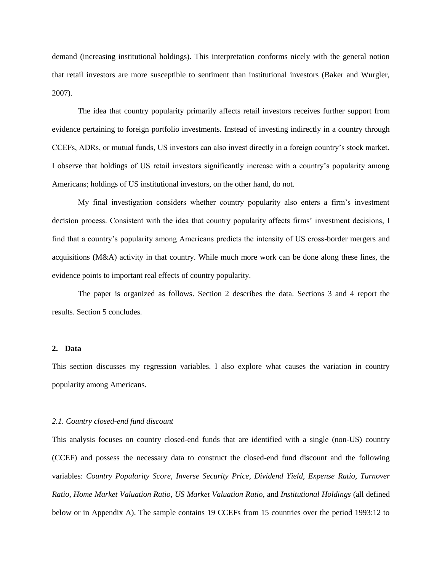demand (increasing institutional holdings). This interpretation conforms nicely with the general notion that retail investors are more susceptible to sentiment than institutional investors (Baker and Wurgler, 2007).

The idea that country popularity primarily affects retail investors receives further support from evidence pertaining to foreign portfolio investments. Instead of investing indirectly in a country through CCEFs, ADRs, or mutual funds, US investors can also invest directly in a foreign country's stock market. I observe that holdings of US retail investors significantly increase with a country's popularity among Americans; holdings of US institutional investors, on the other hand, do not.

My final investigation considers whether country popularity also enters a firm's investment decision process. Consistent with the idea that country popularity affects firms' investment decisions, I find that a country's popularity among Americans predicts the intensity of US cross-border mergers and acquisitions (M&A) activity in that country. While much more work can be done along these lines, the evidence points to important real effects of country popularity.

The paper is organized as follows. Section 2 describes the data. Sections 3 and 4 report the results. Section 5 concludes.

### **2. Data**

This section discusses my regression variables. I also explore what causes the variation in country popularity among Americans.

### *2.1. Country closed-end fund discount*

This analysis focuses on country closed-end funds that are identified with a single (non-US) country (CCEF) and possess the necessary data to construct the closed-end fund discount and the following variables: *Country Popularity Score*, *Inverse Security Price*, *Dividend Yield*, *Expense Ratio*, *Turnover Ratio*, *Home Market Valuation Ratio*, *US Market Valuation Ratio*, and *Institutional Holdings* (all defined below or in Appendix A). The sample contains 19 CCEFs from 15 countries over the period 1993:12 to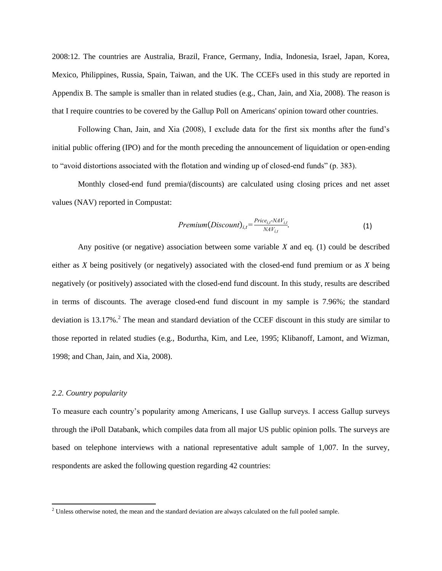2008:12. The countries are Australia, Brazil, France, Germany, India, Indonesia, Israel, Japan, Korea, Mexico, Philippines, Russia, Spain, Taiwan, and the UK. The CCEFs used in this study are reported in Appendix B. The sample is smaller than in related studies (e.g., Chan, Jain, and Xia, 2008). The reason is that I require countries to be covered by the Gallup Poll on Americans' opinion toward other countries.

Following Chan, Jain, and Xia (2008), I exclude data for the first six months after the fund's initial public offering (IPO) and for the month preceding the announcement of liquidation or open-ending to "avoid distortions associated with the flotation and winding up of closed-end funds" (p. 383).

Monthly closed-end fund premia/(discounts) are calculated using closing prices and net asset values (NAV) reported in Compustat:

$$
Premium(Discount)_{i,t} = \frac{Price_{i,t} \cdot NAV_{i,t}}{NAV_{i,t}}.
$$
\n(1)

Any positive (or negative) association between some variable *X* and eq. (1) could be described either as *X* being positively (or negatively) associated with the closed-end fund premium or as *X* being negatively (or positively) associated with the closed-end fund discount. In this study, results are described in terms of discounts. The average closed-end fund discount in my sample is 7.96%; the standard deviation is 13.17%.<sup>2</sup> The mean and standard deviation of the CCEF discount in this study are similar to those reported in related studies (e.g., Bodurtha, Kim, and Lee, 1995; Klibanoff, Lamont, and Wizman, 1998; and Chan, Jain, and Xia, 2008).

## *2.2. Country popularity*

 $\overline{a}$ 

To measure each country's popularity among Americans, I use Gallup surveys. I access Gallup surveys through the iPoll Databank, which compiles data from all major US public opinion polls. The surveys are based on telephone interviews with a national representative adult sample of 1,007. In the survey, respondents are asked the following question regarding 42 countries:

<sup>&</sup>lt;sup>2</sup> Unless otherwise noted, the mean and the standard deviation are always calculated on the full pooled sample.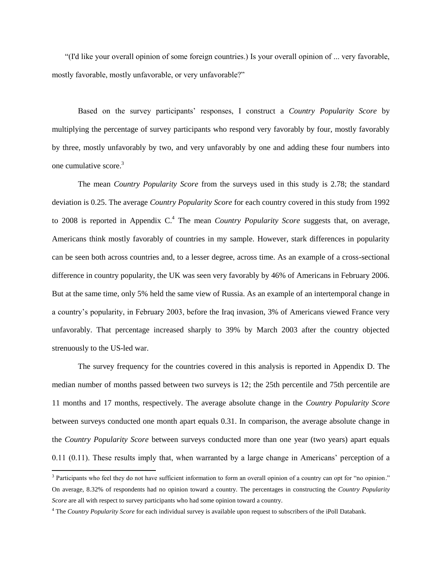"(I'd like your overall opinion of some foreign countries.) Is your overall opinion of ... very favorable, mostly favorable, mostly unfavorable, or very unfavorable?"

Based on the survey participants' responses, I construct a *Country Popularity Score* by multiplying the percentage of survey participants who respond very favorably by four, mostly favorably by three, mostly unfavorably by two, and very unfavorably by one and adding these four numbers into one cumulative score.<sup>3</sup>

The mean *Country Popularity Score* from the surveys used in this study is 2.78; the standard deviation is 0.25. The average *Country Popularity Score* for each country covered in this study from 1992 to 2008 is reported in Appendix C. <sup>4</sup> The mean *Country Popularity Score* suggests that, on average, Americans think mostly favorably of countries in my sample. However, stark differences in popularity can be seen both across countries and, to a lesser degree, across time. As an example of a cross-sectional difference in country popularity, the UK was seen very favorably by 46% of Americans in February 2006. But at the same time, only 5% held the same view of Russia. As an example of an intertemporal change in a country's popularity, in February 2003, before the Iraq invasion, 3% of Americans viewed France very unfavorably. That percentage increased sharply to 39% by March 2003 after the country objected strenuously to the US-led war.

The survey frequency for the countries covered in this analysis is reported in Appendix D. The median number of months passed between two surveys is 12; the 25th percentile and 75th percentile are 11 months and 17 months, respectively. The average absolute change in the *Country Popularity Score* between surveys conducted one month apart equals 0.31. In comparison, the average absolute change in the *Country Popularity Score* between surveys conducted more than one year (two years) apart equals 0.11 (0.11). These results imply that, when warranted by a large change in Americans' perception of a

<sup>&</sup>lt;sup>3</sup> Participants who feel they do not have sufficient information to form an overall opinion of a country can opt for "no opinion." On average, 8.32% of respondents had no opinion toward a country. The percentages in constructing the *Country Popularity Score* are all with respect to survey participants who had some opinion toward a country.

<sup>4</sup> The *Country Popularity Score* for each individual survey is available upon request to subscribers of the iPoll Databank.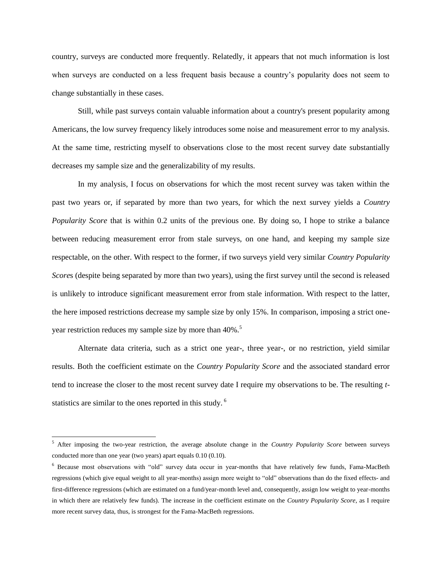country, surveys are conducted more frequently. Relatedly, it appears that not much information is lost when surveys are conducted on a less frequent basis because a country's popularity does not seem to change substantially in these cases.

Still, while past surveys contain valuable information about a country's present popularity among Americans, the low survey frequency likely introduces some noise and measurement error to my analysis. At the same time, restricting myself to observations close to the most recent survey date substantially decreases my sample size and the generalizability of my results.

In my analysis, I focus on observations for which the most recent survey was taken within the past two years or, if separated by more than two years, for which the next survey yields a *Country Popularity Score* that is within 0.2 units of the previous one. By doing so, I hope to strike a balance between reducing measurement error from stale surveys, on one hand, and keeping my sample size respectable, on the other. With respect to the former, if two surveys yield very similar *Country Popularity Score*s (despite being separated by more than two years), using the first survey until the second is released is unlikely to introduce significant measurement error from stale information. With respect to the latter, the here imposed restrictions decrease my sample size by only 15%. In comparison, imposing a strict oneyear restriction reduces my sample size by more than 40%.<sup>5</sup>

Alternate data criteria, such as a strict one year-, three year-, or no restriction, yield similar results. Both the coefficient estimate on the *Country Popularity Score* and the associated standard error tend to increase the closer to the most recent survey date I require my observations to be. The resulting *t*statistics are similar to the ones reported in this study. <sup>6</sup>

<sup>5</sup> After imposing the two-year restriction, the average absolute change in the *Country Popularity Score* between surveys conducted more than one year (two years) apart equals 0.10 (0.10).

<sup>6</sup> Because most observations with "old" survey data occur in year-months that have relatively few funds, Fama-MacBeth regressions (which give equal weight to all year-months) assign more weight to "old" observations than do the fixed effects- and first-difference regressions (which are estimated on a fund/year-month level and, consequently, assign low weight to year-months in which there are relatively few funds). The increase in the coefficient estimate on the *Country Popularity Score*, as I require more recent survey data, thus, is strongest for the Fama-MacBeth regressions.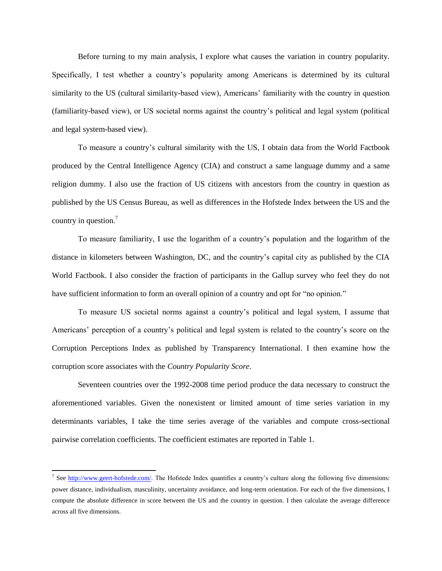Before turning to my main analysis, I explore what causes the variation in country popularity. Specifically, I test whether a country's popularity among Americans is determined by its cultural similarity to the US (cultural similarity-based view), Americans' familiarity with the country in question (familiarity-based view), or US societal norms against the country's political and legal system (political and legal system-based view).

To measure a country's cultural similarity with the US, I obtain data from the World Factbook produced by the Central Intelligence Agency (CIA) and construct a same language dummy and a same religion dummy. I also use the fraction of US citizens with ancestors from the country in question as published by the US Census Bureau, as well as differences in the Hofstede Index between the US and the country in question.<sup>7</sup>

To measure familiarity, I use the logarithm of a country's population and the logarithm of the distance in kilometers between Washington, DC, and the country's capital city as published by the CIA World Factbook. I also consider the fraction of participants in the Gallup survey who feel they do not have sufficient information to form an overall opinion of a country and opt for "no opinion."

To measure US societal norms against a country's political and legal system, I assume that Americans' perception of a country's political and legal system is related to the country's score on the Corruption Perceptions Index as published by Transparency International. I then examine how the corruption score associates with the *Country Popularity Score*.

Seventeen countries over the 1992-2008 time period produce the data necessary to construct the aforementioned variables. Given the nonexistent or limited amount of time series variation in my determinants variables, I take the time series average of the variables and compute cross-sectional pairwise correlation coefficients. The coefficient estimates are reported in Table 1.

<sup>&</sup>lt;sup>7</sup> See [http://www.geert-hofstede.com/.](http://www.geert-hofstede.com/) The Hofstede Index quantifies a country's culture along the following five dimensions: power distance, individualism, masculinity, uncertainty avoidance, and long-term orientation. For each of the five dimensions, I compute the absolute difference in score between the US and the country in question. I then calculate the average difference across all five dimensions.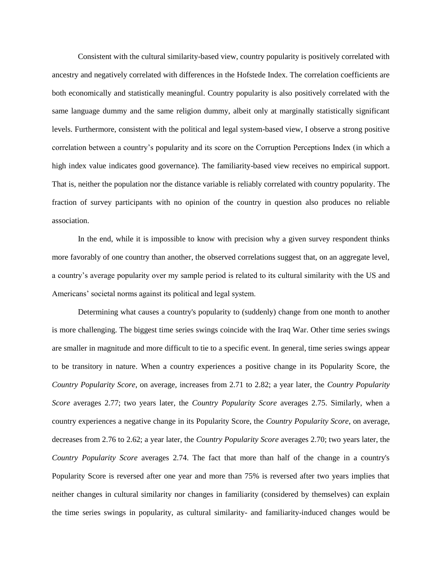Consistent with the cultural similarity-based view, country popularity is positively correlated with ancestry and negatively correlated with differences in the Hofstede Index. The correlation coefficients are both economically and statistically meaningful. Country popularity is also positively correlated with the same language dummy and the same religion dummy, albeit only at marginally statistically significant levels. Furthermore, consistent with the political and legal system-based view, I observe a strong positive correlation between a country's popularity and its score on the Corruption Perceptions Index (in which a high index value indicates good governance). The familiarity-based view receives no empirical support. That is, neither the population nor the distance variable is reliably correlated with country popularity. The fraction of survey participants with no opinion of the country in question also produces no reliable association.

In the end, while it is impossible to know with precision why a given survey respondent thinks more favorably of one country than another, the observed correlations suggest that, on an aggregate level, a country's average popularity over my sample period is related to its cultural similarity with the US and Americans' societal norms against its political and legal system.

Determining what causes a country's popularity to (suddenly) change from one month to another is more challenging. The biggest time series swings coincide with the Iraq War. Other time series swings are smaller in magnitude and more difficult to tie to a specific event. In general, time series swings appear to be transitory in nature. When a country experiences a positive change in its Popularity Score, the *Country Popularity Score*, on average, increases from 2.71 to 2.82; a year later, the *Country Popularity Score* averages 2.77; two years later, the *Country Popularity Score* averages 2.75. Similarly, when a country experiences a negative change in its Popularity Score, the *Country Popularity Score*, on average, decreases from 2.76 to 2.62; a year later, the *Country Popularity Score* averages 2.70; two years later, the *Country Popularity Score* averages 2.74. The fact that more than half of the change in a country's Popularity Score is reversed after one year and more than 75% is reversed after two years implies that neither changes in cultural similarity nor changes in familiarity (considered by themselves) can explain the time series swings in popularity, as cultural similarity- and familiarity-induced changes would be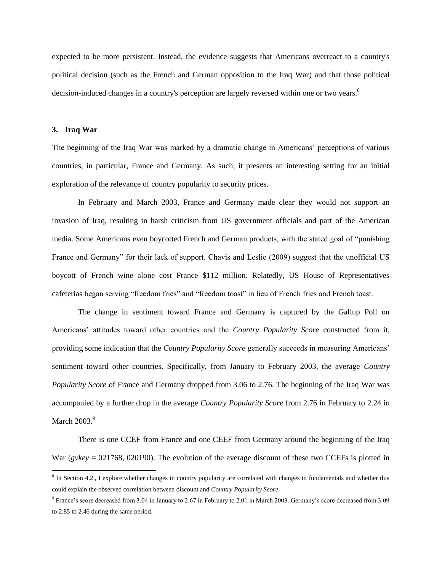expected to be more persistent. Instead, the evidence suggests that Americans overreact to a country's political decision (such as the French and German opposition to the Iraq War) and that those political decision-induced changes in a country's perception are largely reversed within one or two years.<sup>8</sup>

### **3. Iraq War**

 $\overline{\phantom{a}}$ 

The beginning of the Iraq War was marked by a dramatic change in Americans' perceptions of various countries, in particular, France and Germany. As such, it presents an interesting setting for an initial exploration of the relevance of country popularity to security prices.

In February and March 2003, France and Germany made clear they would not support an invasion of Iraq, resulting in harsh criticism from US government officials and part of the American media. Some Americans even boycotted French and German products, with the stated goal of "punishing France and Germany" for their lack of support. Chavis and Leslie (2009) suggest that the unofficial US boycott of French wine alone cost France \$112 million. Relatedly, US House of Representatives cafeterias began serving "freedom fries" and "freedom toast" in lieu of French fries and French toast.

The change in sentiment toward France and Germany is captured by the Gallup Poll on Americans' attitudes toward other countries and the *Country Popularity Score* constructed from it, providing some indication that the *Country Popularity Score* generally succeeds in measuring Americans' sentiment toward other countries. Specifically, from January to February 2003, the average *Country Popularity Score* of France and Germany dropped from 3.06 to 2.76. The beginning of the Iraq War was accompanied by a further drop in the average *Country Popularity Score* from 2.76 in February to 2.24 in March  $2003.<sup>9</sup>$ 

There is one CCEF from France and one CEEF from Germany around the beginning of the Iraq War (*gvkey* = 021768, 020190). The evolution of the average discount of these two CCEFs is plotted in

 $8$  In Section 4.2., I explore whether changes in country popularity are correlated with changes in fundamentals and whether this could explain the observed correlation between discount and *Country Popularity Score*.

<sup>&</sup>lt;sup>9</sup> France's score decreased from 3.04 in January to 2.67 in February to 2.01 in March 2003. Germany's score decreased from 3.09 to 2.85 to 2.46 during the same period.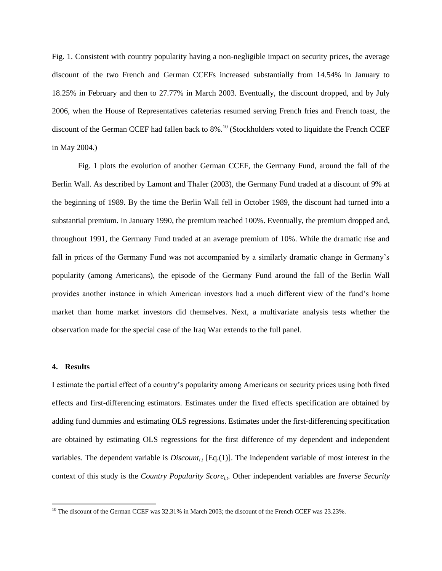Fig. 1. Consistent with country popularity having a non-negligible impact on security prices, the average discount of the two French and German CCEFs increased substantially from 14.54% in January to 18.25% in February and then to 27.77% in March 2003. Eventually, the discount dropped, and by July 2006, when the House of Representatives cafeterias resumed serving French fries and French toast, the discount of the German CCEF had fallen back to 8%.<sup>10</sup> (Stockholders voted to liquidate the French CCEF in May 2004.)

Fig. 1 plots the evolution of another German CCEF, the Germany Fund, around the fall of the Berlin Wall. As described by Lamont and Thaler (2003), the Germany Fund traded at a discount of 9% at the beginning of 1989. By the time the Berlin Wall fell in October 1989, the discount had turned into a substantial premium. In January 1990, the premium reached 100%. Eventually, the premium dropped and, throughout 1991, the Germany Fund traded at an average premium of 10%. While the dramatic rise and fall in prices of the Germany Fund was not accompanied by a similarly dramatic change in Germany's popularity (among Americans), the episode of the Germany Fund around the fall of the Berlin Wall provides another instance in which American investors had a much different view of the fund's home market than home market investors did themselves. Next, a multivariate analysis tests whether the observation made for the special case of the Iraq War extends to the full panel.

### **4. Results**

 $\overline{a}$ 

I estimate the partial effect of a country's popularity among Americans on security prices using both fixed effects and first-differencing estimators. Estimates under the fixed effects specification are obtained by adding fund dummies and estimating OLS regressions. Estimates under the first-differencing specification are obtained by estimating OLS regressions for the first difference of my dependent and independent variables. The dependent variable is  $Discount_{i,t}$  [Eq.(1)]. The independent variable of most interest in the context of this study is the *Country Popularity Score*<sub>*it*</sub>. Other independent variables are *Inverse Security* 

<sup>&</sup>lt;sup>10</sup> The discount of the German CCEF was 32.31% in March 2003; the discount of the French CCEF was 23.23%.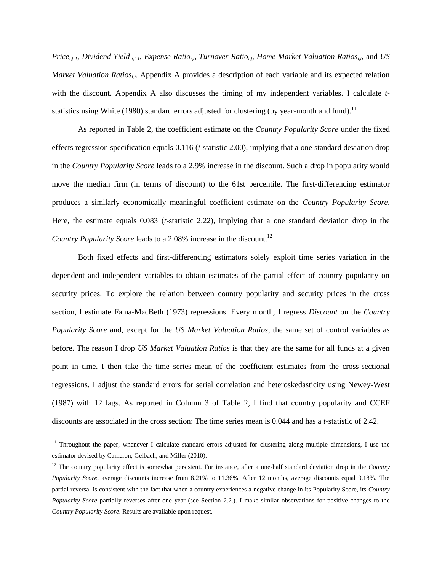*Price*<sub>*it-1*</sub>, *Dividend Yield i<sub>t-1</sub>*, *Expense Ratio*<sub>*it*</sub>, *Turnover Ratio*<sub>*it*</sub>, *Home Market Valuation Ratios*<sub>*it*</sub>, and *US Market Valuation Ratios<sub>is</sub>*. Appendix A provides a description of each variable and its expected relation with the discount. Appendix A also discusses the timing of my independent variables. I calculate *t*statistics using White (1980) standard errors adjusted for clustering (by year-month and fund).<sup>11</sup>

As reported in Table 2, the coefficient estimate on the *Country Popularity Score* under the fixed effects regression specification equals 0.116 (*t*-statistic 2.00), implying that a one standard deviation drop in the *Country Popularity Score* leads to a 2.9% increase in the discount. Such a drop in popularity would move the median firm (in terms of discount) to the 61st percentile. The first-differencing estimator produces a similarly economically meaningful coefficient estimate on the *Country Popularity Score*. Here, the estimate equals 0.083 (*t*-statistic 2.22), implying that a one standard deviation drop in the *Country Popularity Score* leads to a 2.08% increase in the discount.<sup>12</sup>

Both fixed effects and first-differencing estimators solely exploit time series variation in the dependent and independent variables to obtain estimates of the partial effect of country popularity on security prices. To explore the relation between country popularity and security prices in the cross section, I estimate Fama-MacBeth (1973) regressions. Every month, I regress *Discount* on the *Country Popularity Score* and, except for the *US Market Valuation Ratios*, the same set of control variables as before. The reason I drop *US Market Valuation Ratios* is that they are the same for all funds at a given point in time. I then take the time series mean of the coefficient estimates from the cross-sectional regressions. I adjust the standard errors for serial correlation and heteroskedasticity using Newey-West (1987) with 12 lags. As reported in Column 3 of Table 2, I find that country popularity and CCEF discounts are associated in the cross section: The time series mean is 0.044 and has a *t-*statistic of 2.42.

 $11$  Throughout the paper, whenever I calculate standard errors adjusted for clustering along multiple dimensions, I use the estimator devised by Cameron, Gelbach, and Miller (2010).

<sup>12</sup> The country popularity effect is somewhat persistent. For instance, after a one-half standard deviation drop in the *Country Popularity Score*, average discounts increase from 8.21% to 11.36%. After 12 months, average discounts equal 9.18%. The partial reversal is consistent with the fact that when a country experiences a negative change in its Popularity Score, its *Country Popularity Score* partially reverses after one year (see Section 2.2.). I make similar observations for positive changes to the *Country Popularity Score*. Results are available upon request.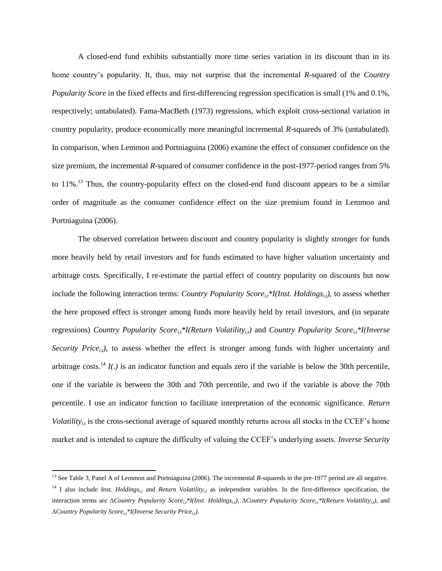A closed-end fund exhibits substantially more time series variation in its discount than in its home country's popularity. It, thus, may not surprise that the incremental *R*-squared of the *Country Popularity Score* in the fixed effects and first-differencing regression specification is small (1% and 0.1%, respectively; untabulated). Fama-MacBeth (1973) regressions, which exploit cross-sectional variation in country popularity, produce economically more meaningful incremental *R*-squareds of 3% (untabulated). In comparison, when Lemmon and Portniaguina (2006) examine the effect of consumer confidence on the size premium, the incremental *R*-squared of consumer confidence in the post-1977-period ranges from 5% to 11%.<sup>13</sup> Thus, the country-popularity effect on the closed-end fund discount appears to be a similar order of magnitude as the consumer confidence effect on the size premium found in Lemmon and Portniaguina (2006).

The observed correlation between discount and country popularity is slightly stronger for funds more heavily held by retail investors and for funds estimated to have higher valuation uncertainty and arbitrage costs. Specifically, I re-estimate the partial effect of country popularity on discounts but now include the following interaction terms: *Country Popularity Score*<sub>*i,t</sub>*<sup>\*</sup>*I*(*Inst. Holdings*<sub>*i,t*</sub>), to assess whether</sub> the here proposed effect is stronger among funds more heavily held by retail investors, and (in separate *regressions) Country Popularity Score*<sub>*i,\*I*(Return Volatility<sub>*i,t*</sub>) and *Country Popularity Score*<sub>*i,\*I*</sub>(Inverse</sub> *Security Price*<sub>*it</sub>* $)$ , to assess whether the effect is stronger among funds with higher uncertainty and</sub> arbitrage costs.<sup>14</sup>  $I(.)$  is an indicator function and equals zero if the variable is below the 30th percentile, one if the variable is between the 30th and 70th percentile, and two if the variable is above the 70th percentile. I use an indicator function to facilitate interpretation of the economic significance. *Return Volatility<sub>it</sub>* is the cross-sectional average of squared monthly returns across all stocks in the CCEF's home market and is intended to capture the difficulty of valuing the CCEF's underlying assets. *Inverse Security* 

<sup>&</sup>lt;sup>13</sup> See Table 3, Panel A of Lemmon and Portniaguina (2006). The incremental *R*-squareds in the pre-1977 period are all negative.

<sup>&</sup>lt;sup>14</sup> I also include *Inst. Holdings*<sub>*it*</sub> and *Return Volatility<sub>it</sub>* as independent variables. In the first-difference specification, the interaction terms are Δ*Country Popularity Scorei,t\*I(Inst. Holdingsi,t)*, Δ*Country Popularity Scorei,t\*I(Return Volatilityi,t)*, and Δ*Country Popularity Scorei,t\*I(Inverse Security Pricei,t)*.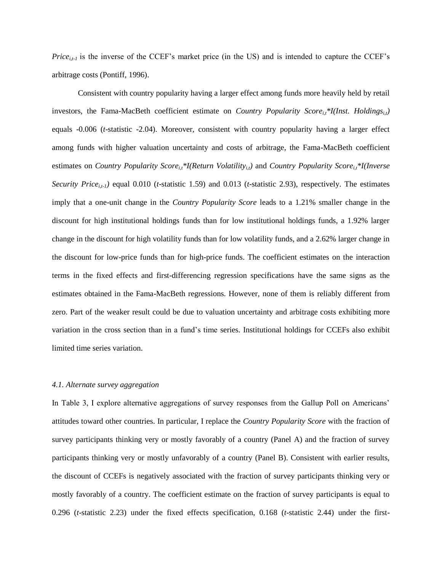*Price*<sub>*i*t-*I*</sub> is the inverse of the CCEF's market price (in the US) and is intended to capture the CCEF's arbitrage costs (Pontiff, 1996).

Consistent with country popularity having a larger effect among funds more heavily held by retail investors, the Fama-MacBeth coefficient estimate on *Country Popularity Score*<sub>*i,t*</sub><sup>\*</sup>*I*(*Inst. Holdings*<sub>*i,t*</sub>)</sub> equals -0.006 (*t*-statistic -2.04). Moreover, consistent with country popularity having a larger effect among funds with higher valuation uncertainty and costs of arbitrage, the Fama-MacBeth coefficient estimates on *Country Popularity Score*<sub>*i,<sup>\*</sup>I(Return Volatility<sub><i>i,t*</sub>)</sub> and *Country Popularity Score*<sub>*i,\*I(Inverse*</sub></sub> *Security Pricei,t-1)* equal 0.010 (*t*-statistic 1.59) and 0.013 (*t*-statistic 2.93), respectively. The estimates imply that a one-unit change in the *Country Popularity Score* leads to a 1.21% smaller change in the discount for high institutional holdings funds than for low institutional holdings funds, a 1.92% larger change in the discount for high volatility funds than for low volatility funds, and a 2.62% larger change in the discount for low-price funds than for high-price funds. The coefficient estimates on the interaction terms in the fixed effects and first-differencing regression specifications have the same signs as the estimates obtained in the Fama-MacBeth regressions. However, none of them is reliably different from zero. Part of the weaker result could be due to valuation uncertainty and arbitrage costs exhibiting more variation in the cross section than in a fund's time series. Institutional holdings for CCEFs also exhibit limited time series variation.

## *4.1. Alternate survey aggregation*

In Table 3, I explore alternative aggregations of survey responses from the Gallup Poll on Americans' attitudes toward other countries. In particular, I replace the *Country Popularity Score* with the fraction of survey participants thinking very or mostly favorably of a country (Panel A) and the fraction of survey participants thinking very or mostly unfavorably of a country (Panel B). Consistent with earlier results, the discount of CCEFs is negatively associated with the fraction of survey participants thinking very or mostly favorably of a country. The coefficient estimate on the fraction of survey participants is equal to 0.296 (*t*-statistic 2.23) under the fixed effects specification, 0.168 (*t*-statistic 2.44) under the first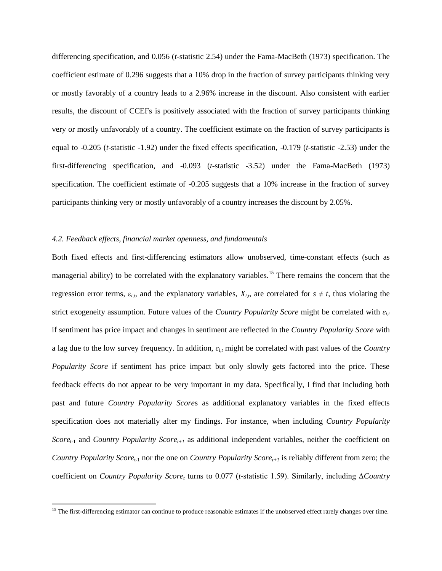differencing specification, and 0.056 (*t*-statistic 2.54) under the Fama-MacBeth (1973) specification. The coefficient estimate of 0.296 suggests that a 10% drop in the fraction of survey participants thinking very or mostly favorably of a country leads to a 2.96% increase in the discount. Also consistent with earlier results, the discount of CCEFs is positively associated with the fraction of survey participants thinking very or mostly unfavorably of a country. The coefficient estimate on the fraction of survey participants is equal to -0.205 (*t*-statistic -1.92) under the fixed effects specification, -0.179 (*t*-statistic -2.53) under the first-differencing specification, and -0.093 (*t*-statistic -3.52) under the Fama-MacBeth (1973) specification. The coefficient estimate of -0.205 suggests that a 10% increase in the fraction of survey participants thinking very or mostly unfavorably of a country increases the discount by 2.05%.

## *4.2. Feedback effects, financial market openness, and fundamentals*

 $\overline{a}$ 

Both fixed effects and first-differencing estimators allow unobserved, time-constant effects (such as managerial ability) to be correlated with the explanatory variables.<sup>15</sup> There remains the concern that the regression error terms,  $\varepsilon_{i,t}$ , and the explanatory variables,  $X_{i,t}$ , are correlated for  $s \neq t$ , thus violating the strict exogeneity assumption. Future values of the *Country Popularity Score* might be correlated with *εi,t* if sentiment has price impact and changes in sentiment are reflected in the *Country Popularity Score* with a lag due to the low survey frequency. In addition, *εi,t* might be correlated with past values of the *Country Popularity Score* if sentiment has price impact but only slowly gets factored into the price. These feedback effects do not appear to be very important in my data. Specifically, I find that including both past and future *Country Popularity Score*s as additional explanatory variables in the fixed effects specification does not materially alter my findings. For instance, when including *Country Popularity Score*t-1 and *Country Popularity Scoret+1* as additional independent variables, neither the coefficient on *Country Popularity Score*<sub>t-1</sub> nor the one on *Country Popularity Score*<sub>t+1</sub> is reliably different from zero; the coefficient on *Country Popularity Score<sup>t</sup>* turns to 0.077 (*t*-statistic 1.59). Similarly, including ∆*Country* 

<sup>&</sup>lt;sup>15</sup> The first-differencing estimator can continue to produce reasonable estimates if the unobserved effect rarely changes over time.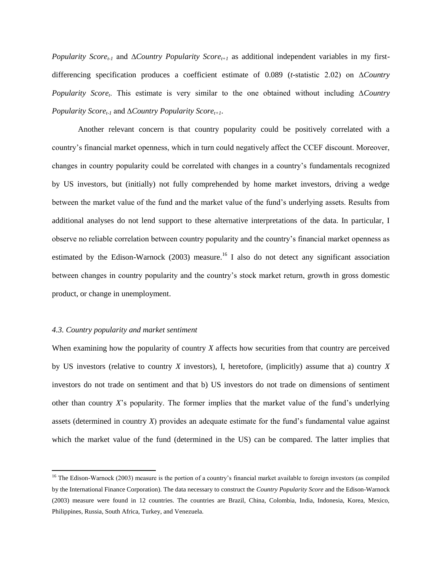*Popularity Scoret-1* and ∆*Country Popularity Scoret+1* as additional independent variables in my firstdifferencing specification produces a coefficient estimate of 0.089 (*t*-statistic 2.02) on ∆*Country Popularity Score<sup>t</sup>* . This estimate is very similar to the one obtained without including ∆*Country Popularity Scoret-1* and ∆*Country Popularity Scoret+1*.

Another relevant concern is that country popularity could be positively correlated with a country's financial market openness, which in turn could negatively affect the CCEF discount. Moreover, changes in country popularity could be correlated with changes in a country's fundamentals recognized by US investors, but (initially) not fully comprehended by home market investors, driving a wedge between the market value of the fund and the market value of the fund's underlying assets. Results from additional analyses do not lend support to these alternative interpretations of the data. In particular, I observe no reliable correlation between country popularity and the country's financial market openness as estimated by the Edison-Warnock (2003) measure.<sup>16</sup> I also do not detect any significant association between changes in country popularity and the country's stock market return, growth in gross domestic product, or change in unemployment.

### *4.3. Country popularity and market sentiment*

 $\overline{\phantom{a}}$ 

When examining how the popularity of country *X* affects how securities from that country are perceived by US investors (relative to country *X* investors), I, heretofore, (implicitly) assume that a) country *X* investors do not trade on sentiment and that b) US investors do not trade on dimensions of sentiment other than country *X*'s popularity. The former implies that the market value of the fund's underlying assets (determined in country *X*) provides an adequate estimate for the fund's fundamental value against which the market value of the fund (determined in the US) can be compared. The latter implies that

 $16$  The Edison-Warnock (2003) measure is the portion of a country's financial market available to foreign investors (as compiled by the International Finance Corporation). The data necessary to construct the *Country Popularity Score* and the Edison-Warnock (2003) measure were found in 12 countries. The countries are Brazil, China, Colombia, India, Indonesia, Korea, Mexico, Philippines, Russia, South Africa, Turkey, and Venezuela.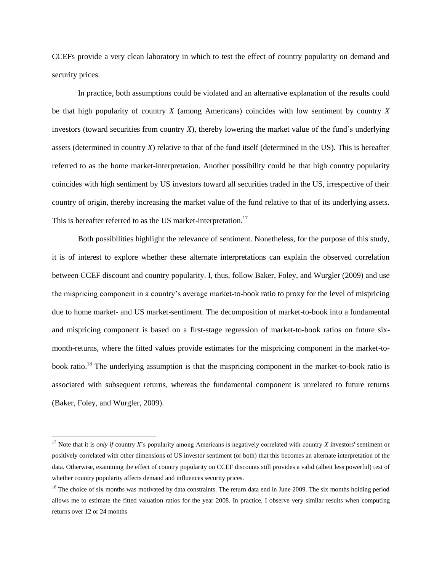CCEFs provide a very clean laboratory in which to test the effect of country popularity on demand and security prices.

In practice, both assumptions could be violated and an alternative explanation of the results could be that high popularity of country *X* (among Americans) coincides with low sentiment by country *X* investors (toward securities from country *X*), thereby lowering the market value of the fund's underlying assets (determined in country *X*) relative to that of the fund itself (determined in the US). This is hereafter referred to as the home market-interpretation. Another possibility could be that high country popularity coincides with high sentiment by US investors toward all securities traded in the US, irrespective of their country of origin, thereby increasing the market value of the fund relative to that of its underlying assets. This is hereafter referred to as the US market-interpretation.<sup>17</sup>

Both possibilities highlight the relevance of sentiment. Nonetheless, for the purpose of this study, it is of interest to explore whether these alternate interpretations can explain the observed correlation between CCEF discount and country popularity. I, thus, follow Baker, Foley, and Wurgler (2009) and use the mispricing component in a country's average market-to-book ratio to proxy for the level of mispricing due to home market- and US market-sentiment. The decomposition of market-to-book into a fundamental and mispricing component is based on a first-stage regression of market-to-book ratios on future sixmonth-returns, where the fitted values provide estimates for the mispricing component in the market-tobook ratio.<sup>18</sup> The underlying assumption is that the mispricing component in the market-to-book ratio is associated with subsequent returns, whereas the fundamental component is unrelated to future returns (Baker, Foley, and Wurgler, 2009).

<sup>17</sup> Note that it is *only if* country *X*'s popularity among Americans is negatively correlated with country *X* investors' sentiment or positively correlated with other dimensions of US investor sentiment (or both) that this becomes an alternate interpretation of the data. Otherwise, examining the effect of country popularity on CCEF discounts still provides a valid (albeit less powerful) test of whether country popularity affects demand and influences security prices.

<sup>&</sup>lt;sup>18</sup> The choice of six months was motivated by data constraints. The return data end in June 2009. The six months holding period allows me to estimate the fitted valuation ratios for the year 2008. In practice, I observe very similar results when computing returns over 12 or 24 months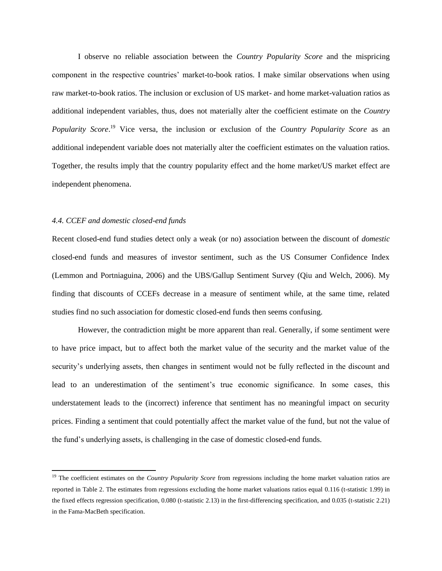I observe no reliable association between the *Country Popularity Score* and the mispricing component in the respective countries' market-to-book ratios. I make similar observations when using raw market-to-book ratios. The inclusion or exclusion of US market- and home market-valuation ratios as additional independent variables, thus, does not materially alter the coefficient estimate on the *Country Popularity Score*. <sup>19</sup> Vice versa, the inclusion or exclusion of the *Country Popularity Score* as an additional independent variable does not materially alter the coefficient estimates on the valuation ratios. Together, the results imply that the country popularity effect and the home market/US market effect are independent phenomena.

### *4.4. CCEF and domestic closed-end funds*

 $\overline{\phantom{a}}$ 

Recent closed-end fund studies detect only a weak (or no) association between the discount of *domestic* closed-end funds and measures of investor sentiment, such as the US Consumer Confidence Index (Lemmon and Portniaguina, 2006) and the UBS/Gallup Sentiment Survey (Qiu and Welch, 2006). My finding that discounts of CCEFs decrease in a measure of sentiment while, at the same time, related studies find no such association for domestic closed-end funds then seems confusing.

However, the contradiction might be more apparent than real. Generally, if some sentiment were to have price impact, but to affect both the market value of the security and the market value of the security's underlying assets, then changes in sentiment would not be fully reflected in the discount and lead to an underestimation of the sentiment's true economic significance. In some cases, this understatement leads to the (incorrect) inference that sentiment has no meaningful impact on security prices. Finding a sentiment that could potentially affect the market value of the fund, but not the value of the fund's underlying assets, is challenging in the case of domestic closed-end funds.

<sup>&</sup>lt;sup>19</sup> The coefficient estimates on the *Country Popularity Score* from regressions including the home market valuation ratios are reported in Table 2. The estimates from regressions excluding the home market valuations ratios equal 0.116 (t-statistic 1.99) in the fixed effects regression specification, 0.080 (t-statistic 2.13) in the first-differencing specification, and 0.035 (t-statistic 2.21) in the Fama-MacBeth specification.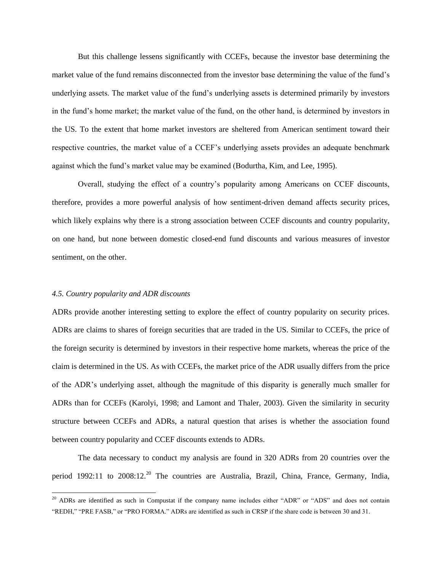But this challenge lessens significantly with CCEFs, because the investor base determining the market value of the fund remains disconnected from the investor base determining the value of the fund's underlying assets. The market value of the fund's underlying assets is determined primarily by investors in the fund's home market; the market value of the fund, on the other hand, is determined by investors in the US. To the extent that home market investors are sheltered from American sentiment toward their respective countries, the market value of a CCEF's underlying assets provides an adequate benchmark against which the fund's market value may be examined (Bodurtha, Kim, and Lee, 1995).

Overall, studying the effect of a country's popularity among Americans on CCEF discounts, therefore, provides a more powerful analysis of how sentiment-driven demand affects security prices, which likely explains why there is a strong association between CCEF discounts and country popularity, on one hand, but none between domestic closed-end fund discounts and various measures of investor sentiment, on the other.

## *4.5. Country popularity and ADR discounts*

l

ADRs provide another interesting setting to explore the effect of country popularity on security prices. ADRs are claims to shares of foreign securities that are traded in the US. Similar to CCEFs, the price of the foreign security is determined by investors in their respective home markets, whereas the price of the claim is determined in the US. As with CCEFs, the market price of the ADR usually differs from the price of the ADR's underlying asset, although the magnitude of this disparity is generally much smaller for ADRs than for CCEFs (Karolyi, 1998; and Lamont and Thaler, 2003). Given the similarity in security structure between CCEFs and ADRs, a natural question that arises is whether the association found between country popularity and CCEF discounts extends to ADRs.

The data necessary to conduct my analysis are found in 320 ADRs from 20 countries over the period 1992:11 to  $2008:12^{20}$  The countries are Australia, Brazil, China, France, Germany, India,

 $^{20}$  ADRs are identified as such in Compustat if the company name includes either "ADR" or "ADS" and does not contain "REDH," "PRE FASB," or "PRO FORMA." ADRs are identified as such in CRSP if the share code is between 30 and 31.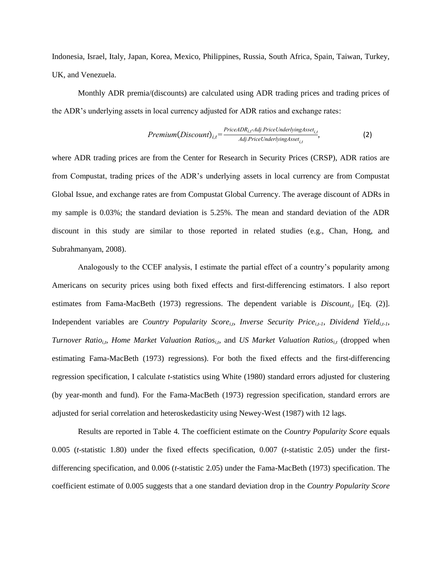Indonesia, Israel, Italy, Japan, Korea, Mexico, Philippines, Russia, South Africa, Spain, Taiwan, Turkey, UK, and Venezuela.

Monthly ADR premia/(discounts) are calculated using ADR trading prices and trading prices of the ADR's underlying assets in local currency adjusted for ADR ratios and exchange rates:

$$
Premium(Discount)_{i,t} = \frac{PriceADR_{i,t}.Adj. PriceUnderlying Asset_{i,t}}{Adj. PriceUnderlying Asset_{i,t}},
$$
\n(2)

where ADR trading prices are from the Center for Research in Security Prices (CRSP), ADR ratios are from Compustat, trading prices of the ADR's underlying assets in local currency are from Compustat Global Issue, and exchange rates are from Compustat Global Currency. The average discount of ADRs in my sample is 0.03%; the standard deviation is 5.25%. The mean and standard deviation of the ADR discount in this study are similar to those reported in related studies (e.g., Chan, Hong, and Subrahmanyam, 2008).

Analogously to the CCEF analysis, I estimate the partial effect of a country's popularity among Americans on security prices using both fixed effects and first-differencing estimators. I also report estimates from Fama-MacBeth (1973) regressions. The dependent variable is *Discount<sub>it</sub>* [Eq. (2)]. Independent variables are *Country Popularity Score*<sub>*it</sub>*, *Inverse Security Price*<sub>*it-1</sub>*, *Dividend Yield*<sub>*it-1*</sub>,</sub></sub> *Turnover Ratio*<sub>*i,t*</sub>, *Home Market Valuation Ratios*<sub>*i,t*</sub>, and *US Market Valuation Ratios*<sub>*i,t*</sub> (dropped when estimating Fama-MacBeth (1973) regressions). For both the fixed effects and the first-differencing regression specification, I calculate *t-*statistics using White (1980) standard errors adjusted for clustering (by year-month and fund). For the Fama-MacBeth (1973) regression specification, standard errors are adjusted for serial correlation and heteroskedasticity using Newey-West (1987) with 12 lags.

Results are reported in Table 4. The coefficient estimate on the *Country Popularity Score* equals 0.005 (*t*-statistic 1.80) under the fixed effects specification, 0.007 (*t*-statistic 2.05) under the firstdifferencing specification, and 0.006 (*t*-statistic 2.05) under the Fama-MacBeth (1973) specification. The coefficient estimate of 0.005 suggests that a one standard deviation drop in the *Country Popularity Score*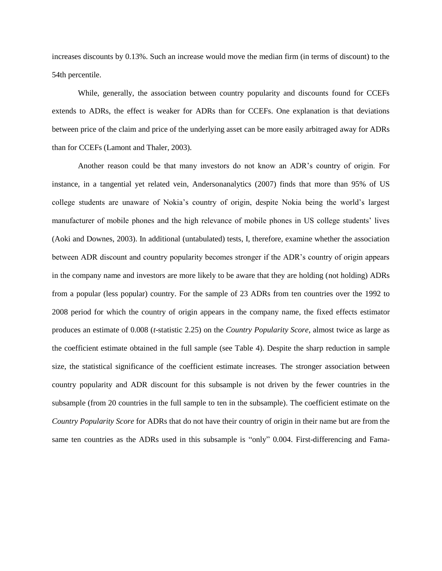increases discounts by 0.13%. Such an increase would move the median firm (in terms of discount) to the 54th percentile.

While, generally, the association between country popularity and discounts found for CCEFs extends to ADRs, the effect is weaker for ADRs than for CCEFs. One explanation is that deviations between price of the claim and price of the underlying asset can be more easily arbitraged away for ADRs than for CCEFs (Lamont and Thaler, 2003).

Another reason could be that many investors do not know an ADR's country of origin. For instance, in a tangential yet related vein, Andersonanalytics (2007) finds that more than 95% of US college students are unaware of Nokia's country of origin, despite Nokia being the world's largest manufacturer of mobile phones and the high relevance of mobile phones in US college students' lives (Aoki and Downes, 2003). In additional (untabulated) tests, I, therefore, examine whether the association between ADR discount and country popularity becomes stronger if the ADR's country of origin appears in the company name and investors are more likely to be aware that they are holding (not holding) ADRs from a popular (less popular) country. For the sample of 23 ADRs from ten countries over the 1992 to 2008 period for which the country of origin appears in the company name, the fixed effects estimator produces an estimate of 0.008 (*t*-statistic 2.25) on the *Country Popularity Score*, almost twice as large as the coefficient estimate obtained in the full sample (see Table 4). Despite the sharp reduction in sample size, the statistical significance of the coefficient estimate increases. The stronger association between country popularity and ADR discount for this subsample is not driven by the fewer countries in the subsample (from 20 countries in the full sample to ten in the subsample). The coefficient estimate on the *Country Popularity Score* for ADRs that do not have their country of origin in their name but are from the same ten countries as the ADRs used in this subsample is "only" 0.004. First-differencing and Fama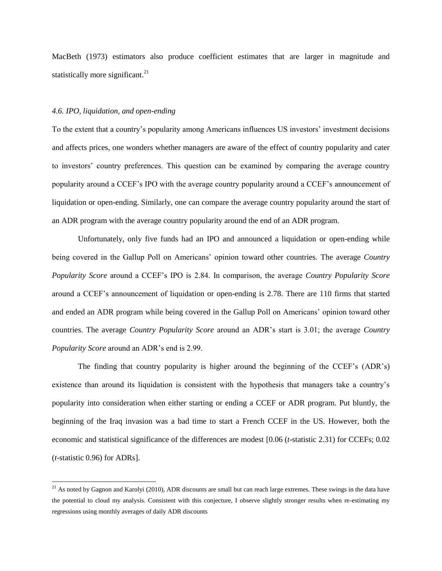MacBeth (1973) estimators also produce coefficient estimates that are larger in magnitude and statistically more significant. $^{21}$ 

## *4.6. IPO, liquidation, and open-ending*

 $\overline{a}$ 

To the extent that a country's popularity among Americans influences US investors' investment decisions and affects prices, one wonders whether managers are aware of the effect of country popularity and cater to investors' country preferences. This question can be examined by comparing the average country popularity around a CCEF's IPO with the average country popularity around a CCEF's announcement of liquidation or open-ending. Similarly, one can compare the average country popularity around the start of an ADR program with the average country popularity around the end of an ADR program.

Unfortunately, only five funds had an IPO and announced a liquidation or open-ending while being covered in the Gallup Poll on Americans' opinion toward other countries. The average *Country Popularity Score* around a CCEF's IPO is 2.84. In comparison, the average *Country Popularity Score* around a CCEF's announcement of liquidation or open-ending is 2.78. There are 110 firms that started and ended an ADR program while being covered in the Gallup Poll on Americans' opinion toward other countries. The average *Country Popularity Score* around an ADR's start is 3.01; the average *Country Popularity Score* around an ADR's end is 2.99.

The finding that country popularity is higher around the beginning of the CCEF's (ADR's) existence than around its liquidation is consistent with the hypothesis that managers take a country's popularity into consideration when either starting or ending a CCEF or ADR program. Put bluntly, the beginning of the Iraq invasion was a bad time to start a French CCEF in the US. However, both the economic and statistical significance of the differences are modest [0.06 (*t*-statistic 2.31) for CCEFs; 0.02 (*t*-statistic 0.96) for ADRs].

<sup>&</sup>lt;sup>21</sup> As noted by Gagnon and Karolyi (2010), ADR discounts are small but can reach large extremes. These swings in the data have the potential to cloud my analysis. Consistent with this conjecture, I observe slightly stronger results when re-estimating my regressions using monthly averages of daily ADR discounts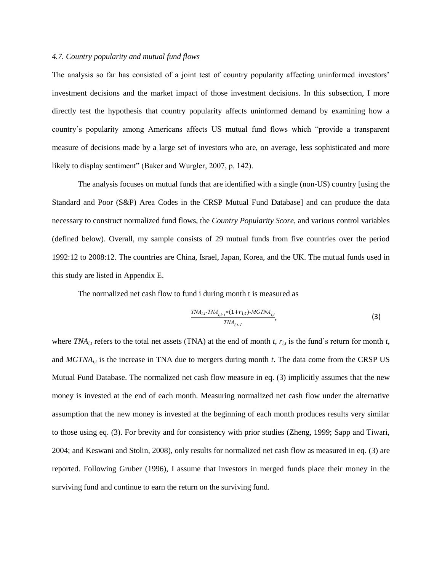### *4.7. Country popularity and mutual fund flows*

The analysis so far has consisted of a joint test of country popularity affecting uninformed investors' investment decisions and the market impact of those investment decisions. In this subsection, I more directly test the hypothesis that country popularity affects uninformed demand by examining how a country's popularity among Americans affects US mutual fund flows which "provide a transparent measure of decisions made by a large set of investors who are, on average, less sophisticated and more likely to display sentiment" (Baker and Wurgler, 2007, p. 142).

The analysis focuses on mutual funds that are identified with a single (non-US) country [using the Standard and Poor (S&P) Area Codes in the CRSP Mutual Fund Database] and can produce the data necessary to construct normalized fund flows, the *Country Popularity Score*, and various control variables (defined below). Overall, my sample consists of 29 mutual funds from five countries over the period 1992:12 to 2008:12. The countries are China, Israel, Japan, Korea, and the UK. The mutual funds used in this study are listed in Appendix E.

The normalized net cash flow to fund i during month t is measured as

$$
\frac{TNA_{i,t}.TNA_{i,t}.i*(1+r_{i,t}).MGTNA_{i,t}}{TNA_{i,t}.i},\tag{3}
$$

where  $TNA_{it}$  refers to the total net assets (TNA) at the end of month *t*,  $r_{it}$  is the fund's return for month *t*, and  $MGTNA_{i,t}$  is the increase in TNA due to mergers during month  $t$ . The data come from the CRSP US Mutual Fund Database. The normalized net cash flow measure in eq. (3) implicitly assumes that the new money is invested at the end of each month. Measuring normalized net cash flow under the alternative assumption that the new money is invested at the beginning of each month produces results very similar to those using eq. (3). For brevity and for consistency with prior studies (Zheng, 1999; Sapp and Tiwari, 2004; and Keswani and Stolin, 2008), only results for normalized net cash flow as measured in eq. (3) are reported. Following Gruber (1996), I assume that investors in merged funds place their money in the surviving fund and continue to earn the return on the surviving fund.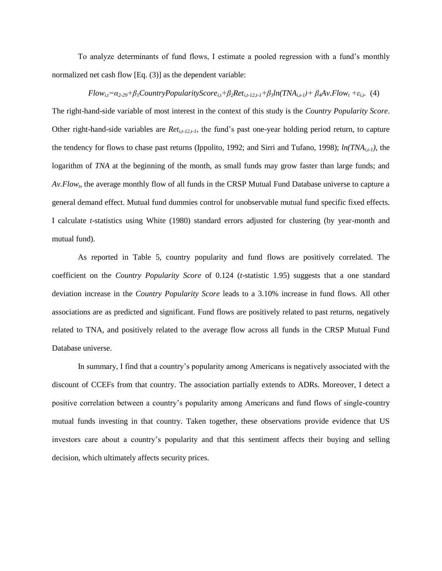To analyze determinants of fund flows, I estimate a pooled regression with a fund's monthly normalized net cash flow [Eq. (3)] as the dependent variable:

## $Flow_{i,t} = \alpha_{2\cdot 29} + \beta_1 CountryPopulationityScore_{i,t} + \beta_2 Ret_{i,t-12,t-1} + \beta_3 ln(TNA_{i,t-1}) + \beta_4 Av.Flow_t + \varepsilon_{i,t}$  (4)

The right-hand-side variable of most interest in the context of this study is the *Country Popularity Score*. Other right-hand-side variables are *Ret<sub>i,t-12,t-1*</sub>, the fund's past one-year holding period return, to capture the tendency for flows to chase past returns (Ippolito, 1992; and Sirri and Tufano, 1998);  $ln(TNA_{i}, t)$ , the logarithm of *TNA* at the beginning of the month, as small funds may grow faster than large funds; and *Av.Flow<sup>t</sup>* , the average monthly flow of all funds in the CRSP Mutual Fund Database universe to capture a general demand effect. Mutual fund dummies control for unobservable mutual fund specific fixed effects. I calculate *t-*statistics using White (1980) standard errors adjusted for clustering (by year-month and mutual fund).

As reported in Table 5, country popularity and fund flows are positively correlated. The coefficient on the *Country Popularity Score* of 0.124 (*t*-statistic 1.95) suggests that a one standard deviation increase in the *Country Popularity Score* leads to a 3.10% increase in fund flows. All other associations are as predicted and significant. Fund flows are positively related to past returns, negatively related to TNA, and positively related to the average flow across all funds in the CRSP Mutual Fund Database universe.

In summary, I find that a country's popularity among Americans is negatively associated with the discount of CCEFs from that country. The association partially extends to ADRs. Moreover, I detect a positive correlation between a country's popularity among Americans and fund flows of single-country mutual funds investing in that country. Taken together, these observations provide evidence that US investors care about a country's popularity and that this sentiment affects their buying and selling decision, which ultimately affects security prices.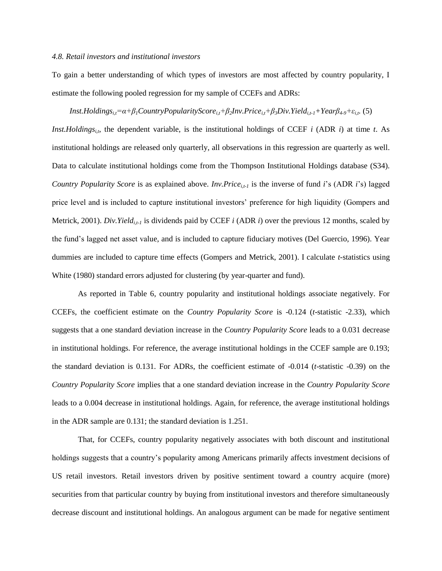### *4.8. Retail investors and institutional investors*

To gain a better understanding of which types of investors are most affected by country popularity, I estimate the following pooled regression for my sample of CCEFs and ADRs:

## *Inst.Holdings<sub>it</sub>*= $\alpha + \beta_1$ *CountryPopularityScore<sub>it</sub>+* $\beta_2$ *Inv.Price<sub>it</sub>+* $\beta_3$ *Div.Yield<sub>it-1</sub>+Year* $\beta_{4.9}$ *+* $\varepsilon_{i,t}$ *. (5)*

*Inst.Holdings<sub>i,t</sub>*, the dependent variable, is the institutional holdings of CCEF *i* (ADR *i*) at time *t*. As institutional holdings are released only quarterly, all observations in this regression are quarterly as well. Data to calculate institutional holdings come from the Thompson Institutional Holdings database (S34). *Country Popularity Score* is as explained above. *Inv.Pricei,t-1* is the inverse of fund *i*'s (ADR *i*'s) lagged price level and is included to capture institutional investors' preference for high liquidity (Gompers and Metrick, 2001). *Div.Yield*<sub>*i*,t-1</sub> is dividends paid by CCEF *i* (ADR *i*) over the previous 12 months, scaled by the fund's lagged net asset value, and is included to capture fiduciary motives (Del Guercio, 1996). Year dummies are included to capture time effects (Gompers and Metrick, 2001). I calculate *t-*statistics using White (1980) standard errors adjusted for clustering (by year-quarter and fund).

As reported in Table 6, country popularity and institutional holdings associate negatively. For CCEFs, the coefficient estimate on the *Country Popularity Score* is -0.124 (*t*-statistic -2.33), which suggests that a one standard deviation increase in the *Country Popularity Score* leads to a 0.031 decrease in institutional holdings. For reference, the average institutional holdings in the CCEF sample are 0.193; the standard deviation is 0.131. For ADRs, the coefficient estimate of -0.014 (*t*-statistic -0.39) on the *Country Popularity Score* implies that a one standard deviation increase in the *Country Popularity Score* leads to a 0.004 decrease in institutional holdings. Again, for reference, the average institutional holdings in the ADR sample are 0.131; the standard deviation is 1.251.

That, for CCEFs, country popularity negatively associates with both discount and institutional holdings suggests that a country's popularity among Americans primarily affects investment decisions of US retail investors. Retail investors driven by positive sentiment toward a country acquire (more) securities from that particular country by buying from institutional investors and therefore simultaneously decrease discount and institutional holdings. An analogous argument can be made for negative sentiment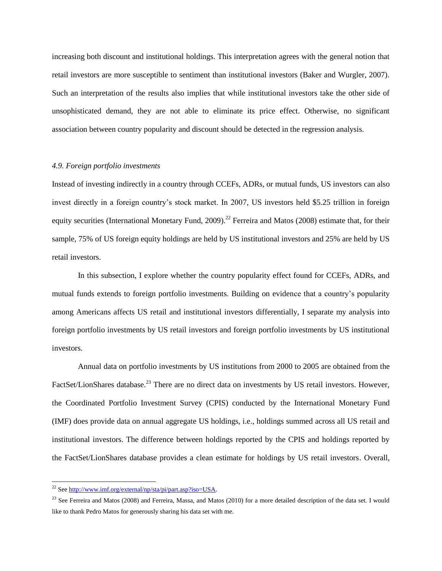increasing both discount and institutional holdings. This interpretation agrees with the general notion that retail investors are more susceptible to sentiment than institutional investors (Baker and Wurgler, 2007). Such an interpretation of the results also implies that while institutional investors take the other side of unsophisticated demand, they are not able to eliminate its price effect. Otherwise, no significant association between country popularity and discount should be detected in the regression analysis.

## *4.9. Foreign portfolio investments*

Instead of investing indirectly in a country through CCEFs, ADRs, or mutual funds, US investors can also invest directly in a foreign country's stock market. In 2007, US investors held \$5.25 trillion in foreign equity securities (International Monetary Fund, 2009).<sup>22</sup> Ferreira and Matos (2008) estimate that, for their sample, 75% of US foreign equity holdings are held by US institutional investors and 25% are held by US retail investors.

In this subsection, I explore whether the country popularity effect found for CCEFs, ADRs, and mutual funds extends to foreign portfolio investments. Building on evidence that a country's popularity among Americans affects US retail and institutional investors differentially, I separate my analysis into foreign portfolio investments by US retail investors and foreign portfolio investments by US institutional investors.

Annual data on portfolio investments by US institutions from 2000 to 2005 are obtained from the FactSet/LionShares database.<sup>23</sup> There are no direct data on investments by US retail investors. However, the Coordinated Portfolio Investment Survey (CPIS) conducted by the International Monetary Fund (IMF) does provide data on annual aggregate US holdings, i.e., holdings summed across all US retail and institutional investors. The difference between holdings reported by the CPIS and holdings reported by the FactSet/LionShares database provides a clean estimate for holdings by US retail investors. Overall,

 $\overline{a}$ 

<sup>&</sup>lt;sup>22</sup> Se[e http://www.imf.org/external/np/sta/pi/part.asp?iso=USA.](http://www.imf.org/external/np/sta/pi/part.asp?iso=USA)

<sup>&</sup>lt;sup>23</sup> See Ferreira and Matos (2008) and Ferreira, Massa, and Matos (2010) for a more detailed description of the data set. I would like to thank Pedro Matos for generously sharing his data set with me.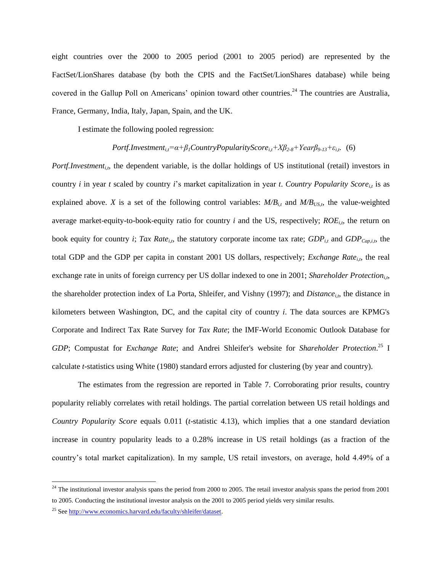eight countries over the 2000 to 2005 period (2001 to 2005 period) are represented by the FactSet/LionShares database (by both the CPIS and the FactSet/LionShares database) while being covered in the Gallup Poll on Americans' opinion toward other countries.<sup>24</sup> The countries are Australia, France, Germany, India, Italy, Japan, Spain, and the UK.

I estimate the following pooled regression:

## *Portf.Investment<sub>it</sub>* $= \alpha + \beta_I$ *CountryPopularityScore*<sub>*i,t</sub>* $+ X\beta_{2\cdot 8} + \gamma_{\text{ear}}\beta_{9\cdot 13} + \varepsilon_{i,t}$  (6)</sub>

*Portf.Investment<sub>i,t</sub>*, the dependent variable, is the dollar holdings of US institutional (retail) investors in country *i* in year *t* scaled by country *i*'s market capitalization in year *t*. *Country Popularity Score*<sub>*it*</sub> is as explained above. *X* is a set of the following control variables:  $M/B$ <sub>*it*</sub> and  $M/B$ <sub>*USt*</sub>, the value-weighted average market-equity-to-book-equity ratio for country  $i$  and the US, respectively;  $ROE_{i,t}$ , the return on book equity for country *i*; *Tax Rate*<sub>*i*,t</sub>, the statutory corporate income tax rate; *GDP*<sub>*i*,t</sub> and *GDP*<sub>*Cap,i,t*</sub>, the total GDP and the GDP per capita in constant 2001 US dollars, respectively; *Exchange Rate*<sub>*it*</sub>, the real exchange rate in units of foreign currency per US dollar indexed to one in 2001; *Shareholder Protection<sub>i</sub>*, the shareholder protection index of La Porta, Shleifer, and Vishny (1997); and *Distance*<sub>it</sub>, the distance in kilometers between Washington, DC, and the capital city of country *i*. The data sources are KPMG's Corporate and Indirect Tax Rate Survey for *Tax Rate*; the IMF-World Economic Outlook Database for *GDP*; Compustat for *Exchange Rate*; and Andrei Shleifer's website for *Shareholder Protection*. <sup>25</sup> I calculate *t-*statistics using White (1980) standard errors adjusted for clustering (by year and country).

The estimates from the regression are reported in Table 7. Corroborating prior results, country popularity reliably correlates with retail holdings. The partial correlation between US retail holdings and *Country Popularity Score* equals 0.011 (*t*-statistic 4.13), which implies that a one standard deviation increase in country popularity leads to a 0.28% increase in US retail holdings (as a fraction of the country's total market capitalization). In my sample, US retail investors, on average, hold 4.49% of a

 $\overline{a}$ 

 $^{24}$  The institutional investor analysis spans the period from 2000 to 2005. The retail investor analysis spans the period from 2001 to 2005. Conducting the institutional investor analysis on the 2001 to 2005 period yields very similar results.

<sup>25</sup> Se[e http://www.economics.harvard.edu/faculty/shleifer/dataset.](http://www.economics.harvard.edu/faculty/shleifer/dataset)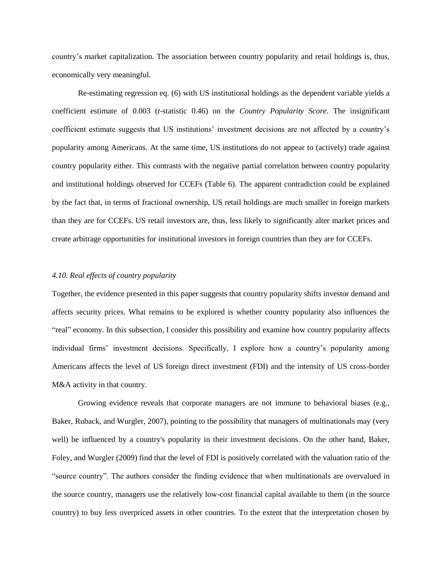country's market capitalization. The association between country popularity and retail holdings is, thus, economically very meaningful.

Re-estimating regression eq. (6) with US institutional holdings as the dependent variable yields a coefficient estimate of 0.003 (*t*-statistic 0.46) on the *Country Popularity Score*. The insignificant coefficient estimate suggests that US institutions' investment decisions are not affected by a country's popularity among Americans. At the same time, US institutions do not appear to (actively) trade against country popularity either. This contrasts with the negative partial correlation between country popularity and institutional holdings observed for CCEFs (Table 6). The apparent contradiction could be explained by the fact that, in terms of fractional ownership, US retail holdings are much smaller in foreign markets than they are for CCEFs. US retail investors are, thus, less likely to significantly alter market prices and create arbitrage opportunities for institutional investors in foreign countries than they are for CCEFs.

## *4.10. Real effects of country popularity*

Together, the evidence presented in this paper suggests that country popularity shifts investor demand and affects security prices. What remains to be explored is whether country popularity also influences the "real" economy. In this subsection, I consider this possibility and examine how country popularity affects individual firms' investment decisions. Specifically, I explore how a country's popularity among Americans affects the level of US foreign direct investment (FDI) and the intensity of US cross-border M&A activity in that country.

Growing evidence reveals that corporate managers are not immune to behavioral biases (e.g., Baker, Ruback, and Wurgler, 2007), pointing to the possibility that managers of multinationals may (very well) be influenced by a country's popularity in their investment decisions. On the other hand, Baker, Foley, and Wurgler (2009) find that the level of FDI is positively correlated with the valuation ratio of the "source country". The authors consider the finding evidence that when multinationals are overvalued in the source country, managers use the relatively low-cost financial capital available to them (in the source country) to buy less overpriced assets in other countries. To the extent that the interpretation chosen by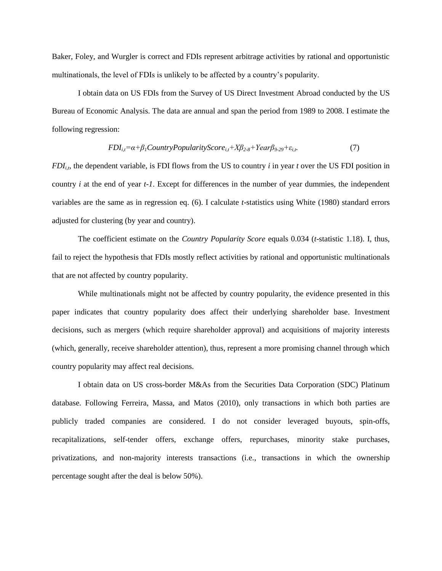Baker, Foley, and Wurgler is correct and FDIs represent arbitrage activities by rational and opportunistic multinationals, the level of FDIs is unlikely to be affected by a country's popularity.

I obtain data on US FDIs from the Survey of US Direct Investment Abroad conducted by the US Bureau of Economic Analysis. The data are annual and span the period from 1989 to 2008. I estimate the following regression:

$$
FDI_{i,t} = \alpha + \beta_1 CountryPopulationityScore_{i,t} + X\beta_{2\cdot8} + Year\beta_{9\cdot29} + \varepsilon_{i,t}.
$$
 (7)

 $FDI_{it}$ , the dependent variable, is FDI flows from the US to country *i* in year *t* over the US FDI position in country *i* at the end of year *t-1*. Except for differences in the number of year dummies, the independent variables are the same as in regression eq. (6). I calculate *t-*statistics using White (1980) standard errors adjusted for clustering (by year and country).

The coefficient estimate on the *Country Popularity Score* equals 0.034 (*t*-statistic 1.18). I, thus, fail to reject the hypothesis that FDIs mostly reflect activities by rational and opportunistic multinationals that are not affected by country popularity.

While multinationals might not be affected by country popularity, the evidence presented in this paper indicates that country popularity does affect their underlying shareholder base. Investment decisions, such as mergers (which require shareholder approval) and acquisitions of majority interests (which, generally, receive shareholder attention), thus, represent a more promising channel through which country popularity may affect real decisions.

I obtain data on US cross-border M&As from the Securities Data Corporation (SDC) Platinum database. Following Ferreira, Massa, and Matos (2010), only transactions in which both parties are publicly traded companies are considered. I do not consider leveraged buyouts, spin-offs, recapitalizations, self-tender offers, exchange offers, repurchases, minority stake purchases, privatizations, and non-majority interests transactions (i.e., transactions in which the ownership percentage sought after the deal is below 50%).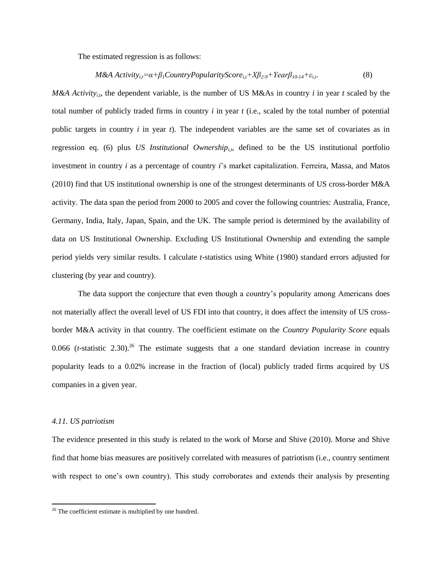The estimated regression is as follows:

*M&A Activityi,t α+β1CountryPopularityScorei,t+Xβ2-9+Y a β10-14+εi,t*. (8)

*M&A Activity<sub>i,t</sub>*, the dependent variable, is the number of US M&As in country *i* in year *t* scaled by the total number of publicly traded firms in country *i* in year *t* (i.e., scaled by the total number of potential public targets in country *i* in year *t*). The independent variables are the same set of covariates as in regression eq. (6) plus *US Institutional Ownership<sub>it</sub>*, defined to be the US institutional portfolio investment in country *i* as a percentage of country *i*'s market capitalization. Ferreira, Massa, and Matos (2010) find that US institutional ownership is one of the strongest determinants of US cross-border M&A activity. The data span the period from 2000 to 2005 and cover the following countries: Australia, France, Germany, India, Italy, Japan, Spain, and the UK. The sample period is determined by the availability of data on US Institutional Ownership. Excluding US Institutional Ownership and extending the sample period yields very similar results. I calculate *t-*statistics using White (1980) standard errors adjusted for clustering (by year and country).

The data support the conjecture that even though a country's popularity among Americans does not materially affect the overall level of US FDI into that country, it does affect the intensity of US crossborder M&A activity in that country. The coefficient estimate on the *Country Popularity Score* equals 0.066 (*t*-statistic 2.30)<sup>26</sup>. The estimate suggests that a one standard deviation increase in country popularity leads to a 0.02% increase in the fraction of (local) publicly traded firms acquired by US companies in a given year.

## *4.11. US patriotism*

 $\overline{a}$ 

The evidence presented in this study is related to the work of Morse and Shive (2010). Morse and Shive find that home bias measures are positively correlated with measures of patriotism (i.e., country sentiment with respect to one's own country). This study corroborates and extends their analysis by presenting

 $26$  The coefficient estimate is multiplied by one hundred.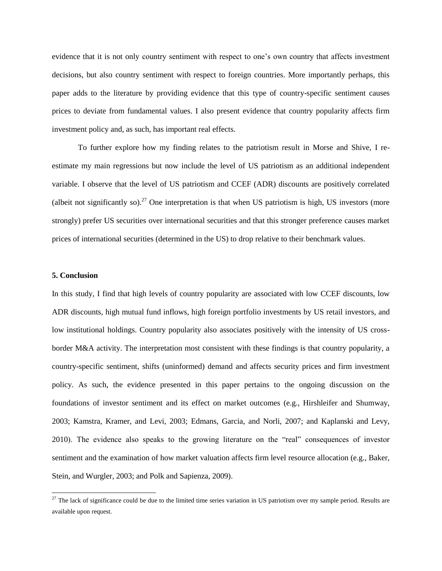evidence that it is not only country sentiment with respect to one's own country that affects investment decisions, but also country sentiment with respect to foreign countries. More importantly perhaps, this paper adds to the literature by providing evidence that this type of country-specific sentiment causes prices to deviate from fundamental values. I also present evidence that country popularity affects firm investment policy and, as such, has important real effects.

To further explore how my finding relates to the patriotism result in Morse and Shive, I reestimate my main regressions but now include the level of US patriotism as an additional independent variable. I observe that the level of US patriotism and CCEF (ADR) discounts are positively correlated (albeit not significantly so).<sup>27</sup> One interpretation is that when US patriotism is high, US investors (more strongly) prefer US securities over international securities and that this stronger preference causes market prices of international securities (determined in the US) to drop relative to their benchmark values.

## **5. Conclusion**

l

In this study, I find that high levels of country popularity are associated with low CCEF discounts, low ADR discounts, high mutual fund inflows, high foreign portfolio investments by US retail investors, and low institutional holdings. Country popularity also associates positively with the intensity of US crossborder M&A activity. The interpretation most consistent with these findings is that country popularity, a country-specific sentiment, shifts (uninformed) demand and affects security prices and firm investment policy. As such, the evidence presented in this paper pertains to the ongoing discussion on the foundations of investor sentiment and its effect on market outcomes (e.g., Hirshleifer and Shumway, 2003; Kamstra, Kramer, and Levi, 2003; Edmans, Garcia, and Norli, 2007; and Kaplanski and Levy, 2010). The evidence also speaks to the growing literature on the "real" consequences of investor sentiment and the examination of how market valuation affects firm level resource allocation (e.g., Baker, Stein, and Wurgler, 2003; and Polk and Sapienza, 2009).

<sup>&</sup>lt;sup>27</sup> The lack of significance could be due to the limited time series variation in US patriotism over my sample period. Results are available upon request.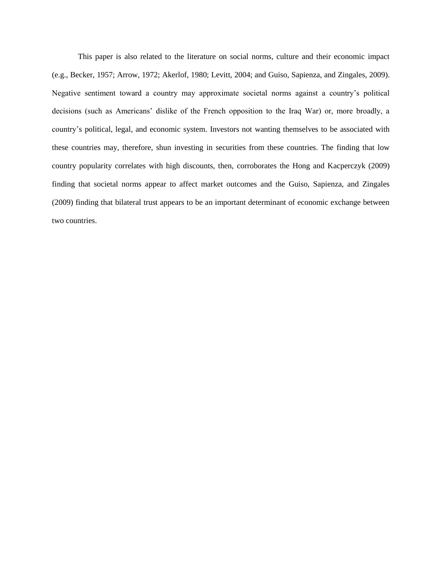This paper is also related to the literature on social norms, culture and their economic impact (e.g., Becker, 1957; Arrow, 1972; Akerlof, 1980; Levitt, 2004; and Guiso, Sapienza, and Zingales, 2009). Negative sentiment toward a country may approximate societal norms against a country's political decisions (such as Americans' dislike of the French opposition to the Iraq War) or, more broadly, a country's political, legal, and economic system. Investors not wanting themselves to be associated with these countries may, therefore, shun investing in securities from these countries. The finding that low country popularity correlates with high discounts, then, corroborates the Hong and Kacperczyk (2009) finding that societal norms appear to affect market outcomes and the Guiso, Sapienza, and Zingales (2009) finding that bilateral trust appears to be an important determinant of economic exchange between two countries.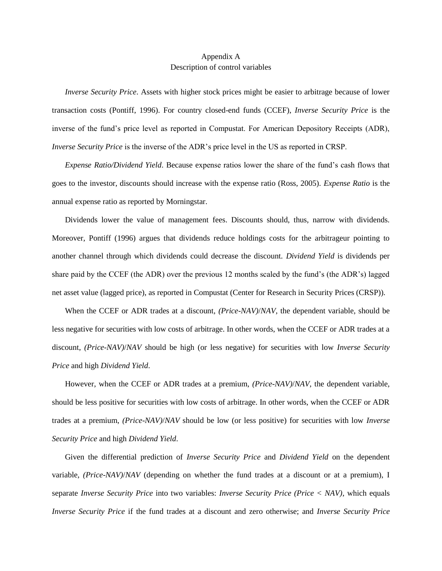## Appendix A Description of control variables

*Inverse Security Price*. Assets with higher stock prices might be easier to arbitrage because of lower transaction costs (Pontiff, 1996). For country closed-end funds (CCEF), *Inverse Security Price* is the inverse of the fund's price level as reported in Compustat. For American Depository Receipts (ADR), *Inverse Security Price* is the inverse of the ADR's price level in the US as reported in CRSP.

*Expense Ratio/Dividend Yield*. Because expense ratios lower the share of the fund's cash flows that goes to the investor, discounts should increase with the expense ratio (Ross, 2005). *Expense Ratio* is the annual expense ratio as reported by Morningstar.

Dividends lower the value of management fees. Discounts should, thus, narrow with dividends. Moreover, Pontiff (1996) argues that dividends reduce holdings costs for the arbitrageur pointing to another channel through which dividends could decrease the discount. *Dividend Yield* is dividends per share paid by the CCEF (the ADR) over the previous 12 months scaled by the fund's (the ADR's) lagged net asset value (lagged price), as reported in Compustat (Center for Research in Security Prices (CRSP)).

When the CCEF or ADR trades at a discount, *(Price*-*NAV)*/*NAV*, the dependent variable, should be less negative for securities with low costs of arbitrage. In other words, when the CCEF or ADR trades at a discount, *(Price*-*NAV)*/*NAV* should be high (or less negative) for securities with low *Inverse Security Price* and high *Dividend Yield*.

However, when the CCEF or ADR trades at a premium, *(Price*-*NAV)*/*NAV*, the dependent variable, should be less positive for securities with low costs of arbitrage. In other words, when the CCEF or ADR trades at a premium, *(Price*-*NAV)*/*NAV* should be low (or less positive) for securities with low *Inverse Security Price* and high *Dividend Yield*.

Given the differential prediction of *Inverse Security Price* and *Dividend Yield* on the dependent variable, *(Price*-*NAV)*/*NAV* (depending on whether the fund trades at a discount or at a premium), I separate *Inverse Security Price* into two variables: *Inverse Security Price (Price < NAV)*, which equals *Inverse Security Price* if the fund trades at a discount and zero otherwise; and *Inverse Security Price*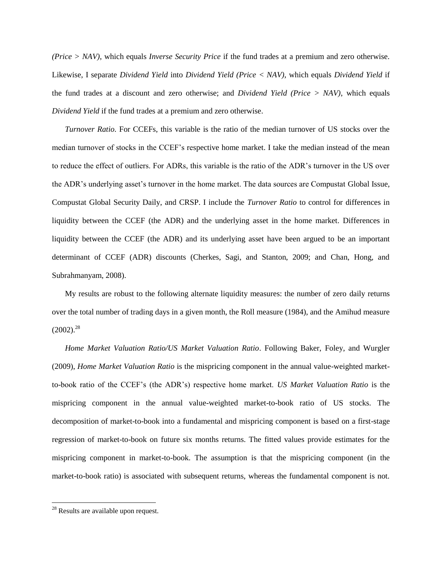*(Price > NAV)*, which equals *Inverse Security Price* if the fund trades at a premium and zero otherwise. Likewise, I separate *Dividend Yield* into *Dividend Yield (Price < NAV)*, which equals *Dividend Yield* if the fund trades at a discount and zero otherwise; and *Dividend Yield (Price > NAV)*, which equals *Dividend Yield* if the fund trades at a premium and zero otherwise.

*Turnover Ratio*. For CCEFs, this variable is the ratio of the median turnover of US stocks over the median turnover of stocks in the CCEF's respective home market. I take the median instead of the mean to reduce the effect of outliers. For ADRs, this variable is the ratio of the ADR's turnover in the US over the ADR's underlying asset's turnover in the home market. The data sources are Compustat Global Issue, Compustat Global Security Daily, and CRSP. I include the *Turnover Ratio* to control for differences in liquidity between the CCEF (the ADR) and the underlying asset in the home market. Differences in liquidity between the CCEF (the ADR) and its underlying asset have been argued to be an important determinant of CCEF (ADR) discounts (Cherkes, Sagi, and Stanton, 2009; and Chan, Hong, and Subrahmanyam, 2008).

My results are robust to the following alternate liquidity measures: the number of zero daily returns over the total number of trading days in a given month, the Roll measure (1984), and the Amihud measure  $(2002).^{28}$ 

*Home Market Valuation Ratio/US Market Valuation Ratio*. Following Baker, Foley, and Wurgler (2009), *Home Market Valuation Ratio* is the mispricing component in the annual value-weighted marketto-book ratio of the CCEF's (the ADR's) respective home market. *US Market Valuation Ratio* is the mispricing component in the annual value-weighted market-to-book ratio of US stocks. The decomposition of market-to-book into a fundamental and mispricing component is based on a first-stage regression of market-to-book on future six months returns. The fitted values provide estimates for the mispricing component in market-to-book. The assumption is that the mispricing component (in the market-to-book ratio) is associated with subsequent returns, whereas the fundamental component is not.

 $\overline{a}$ 

<sup>&</sup>lt;sup>28</sup> Results are available upon request.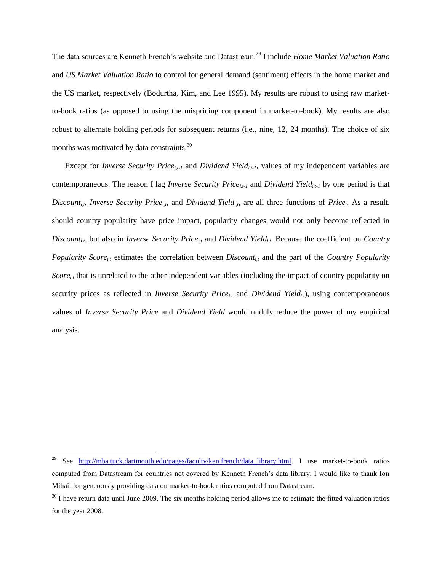The data sources are Kenneth French's website and Datastream.<sup>29</sup> I include *Home Market Valuation Ratio* and *US Market Valuation Ratio* to control for general demand (sentiment) effects in the home market and the US market, respectively (Bodurtha, Kim, and Lee 1995). My results are robust to using raw marketto-book ratios (as opposed to using the mispricing component in market-to-book). My results are also robust to alternate holding periods for subsequent returns (i.e., nine, 12, 24 months). The choice of six months was motivated by data constraints.<sup>30</sup>

Except for *Inverse Security Price<sub>i,t-1</sub>* and *Dividend Yield<sub>i,t-1</sub>*, values of my independent variables are contemporaneous. The reason I lag *Inverse Security Pricei,t-1* and *Dividend Yieldi,t-1* by one period is that *Discount<sub>i,t</sub>*, *Inverse Security Price<sub>i,t</sub>*, and *Dividend Yield<sub>i,t</sub>*, are all three functions of *Price<sub>t</sub>*. As a result, should country popularity have price impact, popularity changes would not only become reflected in *Discount<sub>i,t</sub>*, but also in *Inverse Security Price*<sub>*i,t*</sub> and *Dividend Yield<sub><i>i,t*</sub>. Because the coefficient on *Country Popularity Score*<sub>*it*</sub> estimates the correlation between *Discount*<sub>*it*</sub> and the part of the *Country Popularity Score*<sub>it</sub> that is unrelated to the other independent variables (including the impact of country popularity on security prices as reflected in *Inverse Security Price*<sub>*it*</sub> and *Dividend Yield<sub>it</sub>)*, using contemporaneous values of *Inverse Security Price* and *Dividend Yield* would unduly reduce the power of my empirical analysis.

 $\overline{a}$ 

<sup>&</sup>lt;sup>29</sup> See <u>[http://mba.tuck.dartmouth.edu/pages/faculty/ken.french/data\\_library.html.](http://mba.tuck.dartmouth.edu/pages/faculty/ken.french/data_library.html) I use market-to-book ratios</u> computed from Datastream for countries not covered by Kenneth French's data library. I would like to thank Ion Mihail for generously providing data on market-to-book ratios computed from Datastream.

 $30$  I have return data until June 2009. The six months holding period allows me to estimate the fitted valuation ratios for the year 2008.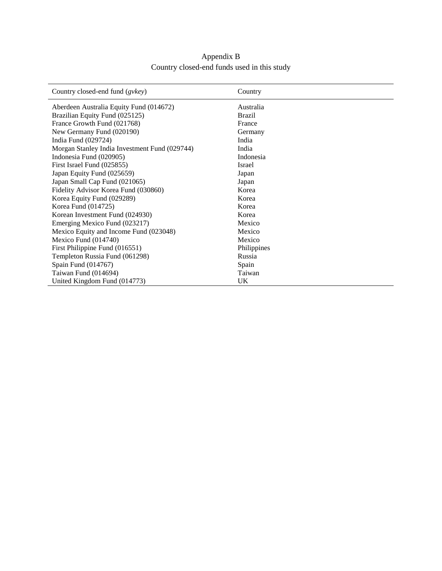## Appendix B Country closed-end funds used in this study

| Country closed-end fund (gvkey)               | Country       |
|-----------------------------------------------|---------------|
| Aberdeen Australia Equity Fund (014672)       | Australia     |
| Brazilian Equity Fund (025125)                | <b>Brazil</b> |
| France Growth Fund (021768)                   | France        |
| New Germany Fund (020190)                     | Germany       |
| India Fund (029724)                           | India         |
| Morgan Stanley India Investment Fund (029744) | India         |
| Indonesia Fund (020905)                       | Indonesia     |
| First Israel Fund (025855)                    | Israel        |
| Japan Equity Fund (025659)                    | Japan         |
| Japan Small Cap Fund (021065)                 | Japan         |
| Fidelity Advisor Korea Fund (030860)          | Korea         |
| Korea Equity Fund (029289)                    | Korea         |
| Korea Fund (014725)                           | Korea         |
| Korean Investment Fund (024930)               | Korea         |
| Emerging Mexico Fund (023217)                 | Mexico        |
| Mexico Equity and Income Fund (023048)        | Mexico        |
| Mexico Fund (014740)                          | Mexico        |
| First Philippine Fund (016551)                | Philippines   |
| Templeton Russia Fund (061298)                | Russia        |
| Spain Fund (014767)                           | Spain         |
| Taiwan Fund (014694)                          | Taiwan        |
| United Kingdom Fund (014773)                  | UK            |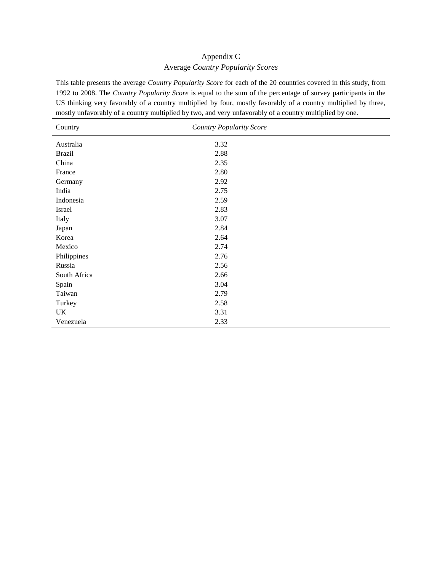## Appendix C Average *Country Popularity Scores*

This table presents the average *Country Popularity Score* for each of the 20 countries covered in this study, from 1992 to 2008. The *Country Popularity Score* is equal to the sum of the percentage of survey participants in the US thinking very favorably of a country multiplied by four, mostly favorably of a country multiplied by three, mostly unfavorably of a country multiplied by two, and very unfavorably of a country multiplied by one.

| Country       | <b>Country Popularity Score</b> |  |
|---------------|---------------------------------|--|
| Australia     | 3.32                            |  |
| <b>Brazil</b> | 2.88                            |  |
| China         | 2.35                            |  |
| France        | 2.80                            |  |
| Germany       | 2.92                            |  |
| India         | 2.75                            |  |
| Indonesia     | 2.59                            |  |
| Israel        | 2.83                            |  |
| Italy         | 3.07                            |  |
| Japan         | 2.84                            |  |
| Korea         | 2.64                            |  |
| Mexico        | 2.74                            |  |
| Philippines   | 2.76                            |  |
| Russia        | 2.56                            |  |
| South Africa  | 2.66                            |  |
| Spain         | 3.04                            |  |
| Taiwan        | 2.79                            |  |
| Turkey        | 2.58                            |  |
| UK            | 3.31                            |  |
| Venezuela     | 2.33                            |  |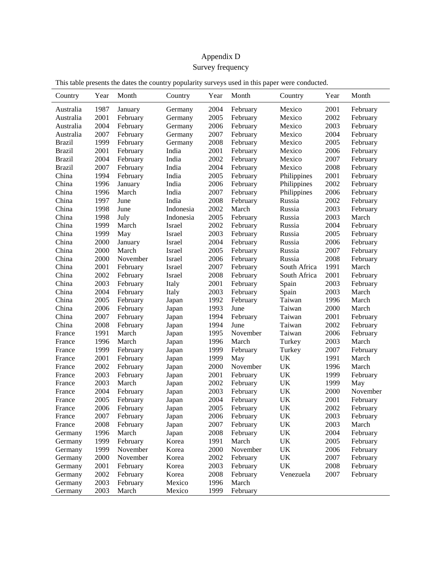# Appendix D Survey frequency

| This table presents the dates the country popularity surveys used in this paper were conducted. |  |
|-------------------------------------------------------------------------------------------------|--|
|                                                                                                 |  |

| Country       | Year | Month    | Country   | Year | Month    | Country                           | Year | Month    |
|---------------|------|----------|-----------|------|----------|-----------------------------------|------|----------|
| Australia     | 1987 | January  | Germany   | 2004 | February | Mexico                            | 2001 | February |
| Australia     | 2001 | February | Germany   | 2005 | February | Mexico                            | 2002 | February |
| Australia     | 2004 | February | Germany   | 2006 | February | Mexico                            | 2003 | February |
| Australia     | 2007 | February | Germany   | 2007 | February | Mexico                            | 2004 | February |
| <b>Brazil</b> | 1999 | February | Germany   | 2008 | February | Mexico                            | 2005 | February |
| <b>Brazil</b> | 2001 | February | India     | 2001 | February | Mexico                            | 2006 | February |
| <b>Brazil</b> | 2004 | February | India     | 2002 | February | Mexico                            | 2007 | February |
| <b>Brazil</b> | 2007 | February | India     | 2004 | February | Mexico                            | 2008 | February |
| China         | 1994 | February | India     | 2005 | February | Philippines                       | 2001 | February |
| China         | 1996 | January  | India     | 2006 | February | Philippines                       | 2002 | February |
| China         | 1996 | March    | India     | 2007 | February | Philippines                       | 2006 | February |
| China         | 1997 | June     | India     | 2008 | February | Russia                            | 2002 | February |
| China         | 1998 | June     | Indonesia | 2002 | March    | Russia                            | 2003 | February |
| China         | 1998 | July     | Indonesia | 2005 | February | Russia                            | 2003 | March    |
| China         | 1999 | March    | Israel    | 2002 | February | Russia                            | 2004 | February |
| China         | 1999 | May      | Israel    | 2003 | February | Russia                            | 2005 | February |
| China         | 2000 | January  | Israel    | 2004 | February | Russia                            | 2006 | February |
| China         | 2000 | March    | Israel    | 2005 | February | Russia                            | 2007 | February |
| China         | 2000 | November | Israel    | 2006 | February | Russia                            | 2008 | February |
| China         | 2001 | February | Israel    | 2007 | February | South Africa                      | 1991 | March    |
| China         | 2002 | February | Israel    | 2008 | February | South Africa                      | 2001 | February |
| China         | 2003 | February | Italy     | 2001 | February | Spain                             | 2003 | February |
| China         | 2004 | February | Italy     | 2003 | February | Spain                             | 2003 | March    |
| China         | 2005 | February | Japan     | 1992 | February | Taiwan                            | 1996 | March    |
| China         | 2006 | February | Japan     | 1993 | June     | Taiwan                            | 2000 | March    |
| China         | 2007 | February | Japan     | 1994 | February | Taiwan                            | 2001 | February |
| China         | 2008 | February | Japan     | 1994 | June     | Taiwan                            | 2002 | February |
| France        | 1991 | March    | Japan     | 1995 | November | Taiwan                            | 2006 | February |
| France        | 1996 | March    | Japan     | 1996 | March    | Turkey                            | 2003 | March    |
| France        | 1999 | February | Japan     | 1999 | February | Turkey                            | 2007 | February |
| France        | 2001 | February | Japan     | 1999 | May      | UK                                | 1991 | March    |
| France        | 2002 | February | Japan     | 2000 | November | UK                                | 1996 | March    |
| France        | 2003 | February | Japan     | 2001 | February | <b>UK</b>                         | 1999 | February |
| France        | 2003 | March    | Japan     | 2002 | February | UK                                | 1999 | May      |
| France        | 2004 | February | Japan     | 2003 | February | $\ensuremath{\mathrm{UK}}\xspace$ | 2000 | November |
| France        | 2005 | February | Japan     | 2004 | February | UK                                | 2001 | February |
| France        | 2006 | February | Japan     | 2005 | February | UK                                | 2002 | February |
| France        | 2007 | February | Japan     | 2006 | February | UK                                | 2003 | February |
| France        | 2008 | February | Japan     | 2007 | February | UK                                | 2003 | March    |
| Germany       | 1996 | March    | Japan     | 2008 | February | $\ensuremath{\mathrm{UK}}\xspace$ | 2004 | February |
| Germany       | 1999 | February | Korea     | 1991 | March    | UK                                | 2005 | February |
| Germany       | 1999 | November | Korea     | 2000 | November | UK                                | 2006 | February |
| Germany       | 2000 | November | Korea     | 2002 | February | UK                                | 2007 | February |
| Germany       | 2001 | February | Korea     | 2003 | February | UK                                | 2008 | February |
| Germany       | 2002 | February | Korea     | 2008 | February | Venezuela                         | 2007 | February |
| Germany       | 2003 | February | Mexico    | 1996 | March    |                                   |      |          |
| Germany       | 2003 | March    | Mexico    | 1999 | February |                                   |      |          |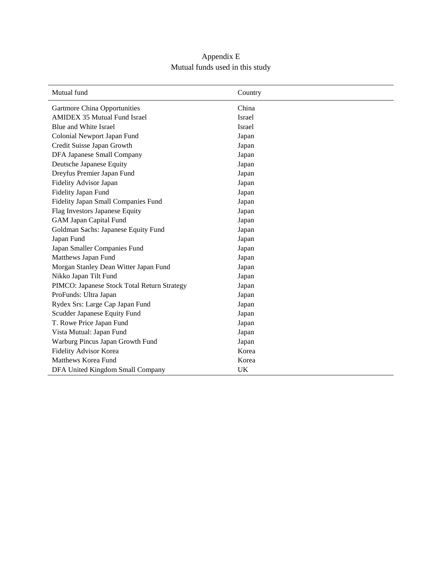## Appendix E Mutual funds used in this study

| Mutual fund                                 | Country |  |
|---------------------------------------------|---------|--|
| <b>Gartmore China Opportunities</b>         | China   |  |
| <b>AMIDEX 35 Mutual Fund Israel</b>         | Israel  |  |
| Blue and White Israel                       | Israel  |  |
| Colonial Newport Japan Fund                 | Japan   |  |
| Credit Suisse Japan Growth                  | Japan   |  |
| DFA Japanese Small Company                  | Japan   |  |
| Deutsche Japanese Equity                    | Japan   |  |
| Dreyfus Premier Japan Fund                  | Japan   |  |
| Fidelity Advisor Japan                      | Japan   |  |
| Fidelity Japan Fund                         | Japan   |  |
| Fidelity Japan Small Companies Fund         | Japan   |  |
| Flag Investors Japanese Equity              | Japan   |  |
| <b>GAM Japan Capital Fund</b>               | Japan   |  |
| Goldman Sachs: Japanese Equity Fund         | Japan   |  |
| Japan Fund                                  | Japan   |  |
| Japan Smaller Companies Fund                | Japan   |  |
| Matthews Japan Fund                         | Japan   |  |
| Morgan Stanley Dean Witter Japan Fund       | Japan   |  |
| Nikko Japan Tilt Fund                       | Japan   |  |
| PIMCO: Japanese Stock Total Return Strategy | Japan   |  |
| ProFunds: Ultra Japan                       | Japan   |  |
| Rydex Srs: Large Cap Japan Fund             | Japan   |  |
| Scudder Japanese Equity Fund                | Japan   |  |
| T. Rowe Price Japan Fund                    | Japan   |  |
| Vista Mutual: Japan Fund                    | Japan   |  |
| Warburg Pincus Japan Growth Fund            | Japan   |  |
| Fidelity Advisor Korea                      | Korea   |  |
| Matthews Korea Fund                         | Korea   |  |
| DFA United Kingdom Small Company            | UK      |  |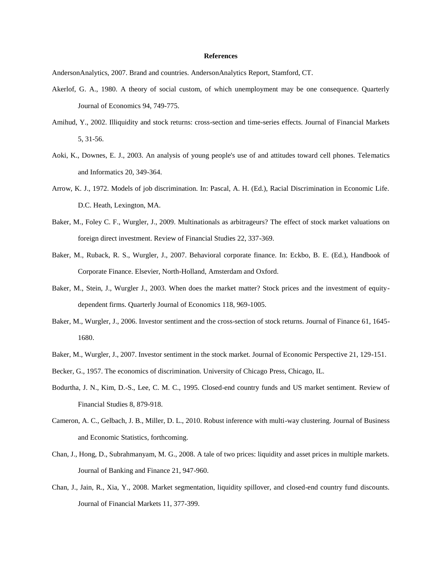### **References**

AndersonAnalytics, 2007. Brand and countries. AndersonAnalytics Report, Stamford, CT.

- Akerlof, G. A., 1980. A theory of social custom, of which unemployment may be one consequence. Quarterly Journal of Economics 94, 749-775.
- Amihud, Y., 2002. Illiquidity and stock returns: cross-section and time-series effects. Journal of Financial Markets 5, 31-56.
- Aoki, K., Downes, E. J., 2003. An analysis of young people's use of and attitudes toward cell phones. Telematics and Informatics 20, 349-364.
- Arrow, K. J., 1972. Models of job discrimination. In: Pascal, A. H. (Ed.), Racial Discrimination in Economic Life. D.C. Heath, Lexington, MA.
- Baker, M., Foley C. F., Wurgler, J., 2009. Multinationals as arbitrageurs? The effect of stock market valuations on foreign direct investment. Review of Financial Studies 22, 337-369.
- Baker, M., Ruback, R. S., Wurgler, J., 2007. Behavioral corporate finance. In: Eckbo, B. E. (Ed.), Handbook of Corporate Finance. Elsevier, North-Holland, Amsterdam and Oxford.
- Baker, M., Stein, J., Wurgler J., 2003. When does the market matter? Stock prices and the investment of equitydependent firms. Quarterly Journal of Economics 118, 969-1005.
- Baker, M., Wurgler, J., 2006. Investor sentiment and the cross-section of stock returns. Journal of Finance 61, 1645- 1680.
- Baker, M., Wurgler, J., 2007. Investor sentiment in the stock market. Journal of Economic Perspective 21, 129-151.
- Becker, G., 1957. The economics of discrimination. University of Chicago Press, Chicago, IL.
- Bodurtha, J. N., Kim, D.-S., Lee, C. M. C., 1995. Closed-end country funds and US market sentiment. Review of Financial Studies 8, 879-918.
- Cameron, A. C., Gelbach, J. B., Miller, D. L., 2010. Robust inference with multi-way clustering. Journal of Business and Economic Statistics, forthcoming.
- Chan, J., Hong, D., Subrahmanyam, M. G., 2008. A tale of two prices: liquidity and asset prices in multiple markets. Journal of Banking and Finance 21, 947-960.
- Chan, J., Jain, R., Xia, Y., 2008. Market segmentation, liquidity spillover, and closed-end country fund discounts. Journal of Financial Markets 11, 377-399.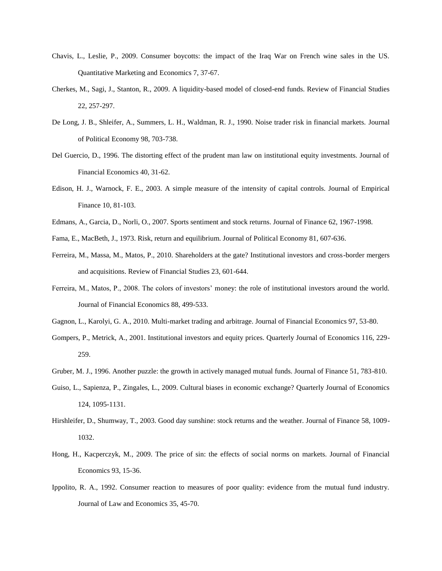- Chavis, L., Leslie, P., 2009. Consumer boycotts: the impact of the Iraq War on French wine sales in the US. Quantitative Marketing and Economics 7, 37-67.
- Cherkes, M., Sagi, J., Stanton, R., 2009. A liquidity-based model of closed-end funds. Review of Financial Studies 22, 257-297.
- De Long, J. B., Shleifer, A., Summers, L. H., Waldman, R. J., 1990. Noise trader risk in financial markets. Journal of Political Economy 98, 703-738.
- Del Guercio, D., 1996. The distorting effect of the prudent man law on institutional equity investments. Journal of Financial Economics 40, 31-62.
- Edison, H. J., Warnock, F. E., 2003. A simple measure of the intensity of capital controls. Journal of Empirical Finance 10, 81-103.
- Edmans, A., Garcia, D., Norli, O., 2007. Sports sentiment and stock returns. Journal of Finance 62, 1967-1998.
- Fama, E., MacBeth, J., 1973. Risk, return and equilibrium. Journal of Political Economy 81, 607-636.
- Ferreira, M., Massa, M., Matos, P., 2010. Shareholders at the gate? Institutional investors and cross-border mergers and acquisitions. Review of Financial Studies 23, 601-644.
- Ferreira, M., Matos, P., 2008. The colors of investors' money: the role of institutional investors around the world. Journal of Financial Economics 88, 499-533.
- Gagnon, L., Karolyi, G. A., 2010. Multi-market trading and arbitrage. Journal of Financial Economics 97, 53-80.
- Gompers, P., Metrick, A., 2001. Institutional investors and equity prices. Quarterly Journal of Economics 116, 229- 259.
- Gruber, M. J., 1996. Another puzzle: the growth in actively managed mutual funds. Journal of Finance 51, 783-810.
- Guiso, L., Sapienza, P., Zingales, L., 2009. Cultural biases in economic exchange? Quarterly Journal of Economics 124, 1095-1131.
- Hirshleifer, D., Shumway, T., 2003. Good day sunshine: stock returns and the weather. Journal of Finance 58, 1009- 1032.
- Hong, H., Kacperczyk, M., 2009. The price of sin: the effects of social norms on markets. Journal of Financial Economics 93, 15-36.
- Ippolito, R. A., 1992. Consumer reaction to measures of poor quality: evidence from the mutual fund industry. Journal of Law and Economics 35, 45-70.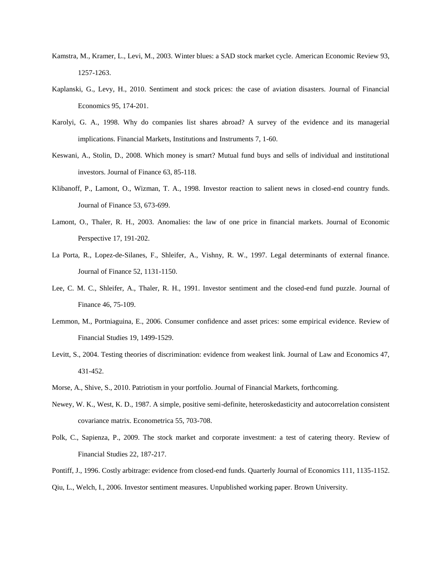- Kamstra, M., Kramer, L., Levi, M., 2003. Winter blues: a SAD stock market cycle. American Economic Review 93, 1257-1263.
- Kaplanski, G., Levy, H., 2010. Sentiment and stock prices: the case of aviation disasters. Journal of Financial Economics 95, 174-201.
- Karolyi, G. A., 1998. Why do companies list shares abroad? A survey of the evidence and its managerial implications. Financial Markets, Institutions and Instruments 7, 1-60.
- Keswani, A., Stolin, D., 2008. Which money is smart? Mutual fund buys and sells of individual and institutional investors. Journal of Finance 63, 85-118.
- Klibanoff, P., Lamont, O., Wizman, T. A., 1998. Investor reaction to salient news in closed-end country funds. Journal of Finance 53, 673-699.
- Lamont, O., Thaler, R. H., 2003. Anomalies: the law of one price in financial markets. Journal of Economic Perspective 17, 191-202.
- La Porta, R., Lopez-de-Silanes, F., Shleifer, A., Vishny, R. W., 1997. Legal determinants of external finance. Journal of Finance 52, 1131-1150.
- Lee, C. M. C., Shleifer, A., Thaler, R. H., 1991. Investor sentiment and the closed-end fund puzzle. Journal of Finance 46, 75-109.
- Lemmon, M., Portniaguina, E., 2006. Consumer confidence and asset prices: some empirical evidence. Review of Financial Studies 19, 1499-1529.
- Levitt, S., 2004. Testing theories of discrimination: evidence from weakest link. Journal of Law and Economics 47, 431-452.
- Morse, A., Shive, S., 2010. Patriotism in your portfolio. Journal of Financial Markets, forthcoming.
- Newey, W. K., West, K. D., 1987. A simple, positive semi-definite, heteroskedasticity and autocorrelation consistent covariance matrix. Econometrica 55, 703-708.
- Polk, C., Sapienza, P., 2009. The stock market and corporate investment: a test of catering theory. Review of Financial Studies 22, 187-217.
- Pontiff, J., 1996. Costly arbitrage: evidence from closed-end funds. Quarterly Journal of Economics 111, 1135-1152. Qiu, L., Welch, I., 2006. Investor sentiment measures. Unpublished working paper. Brown University.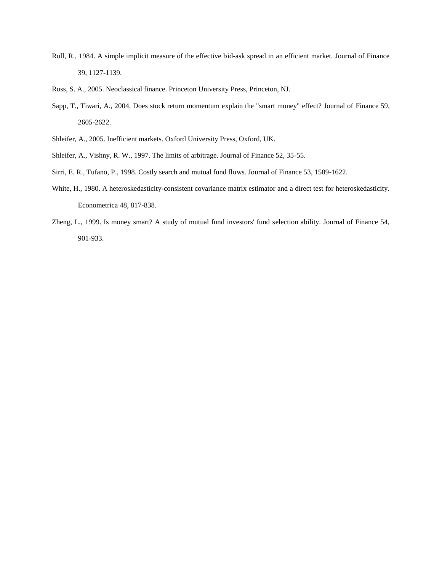- Roll, R., 1984. A simple implicit measure of the effective bid-ask spread in an efficient market. Journal of Finance 39, 1127-1139.
- Ross, S. A., 2005. Neoclassical finance. Princeton University Press, Princeton, NJ.
- Sapp, T., Tiwari, A., 2004. Does stock return momentum explain the "smart money" effect? Journal of Finance 59, 2605-2622.
- Shleifer, A., 2005. Inefficient markets. Oxford University Press, Oxford, UK.
- Shleifer, A., Vishny, R. W., 1997. The limits of arbitrage. Journal of Finance 52, 35-55.
- Sirri, E. R., Tufano, P., 1998. Costly search and mutual fund flows. Journal of Finance 53, 1589-1622.
- White, H., 1980. A heteroskedasticity-consistent covariance matrix estimator and a direct test for heteroskedasticity. Econometrica 48, 817-838.
- Zheng, L., 1999. Is money smart? A study of mutual fund investors' fund selection ability. Journal of Finance 54, 901-933.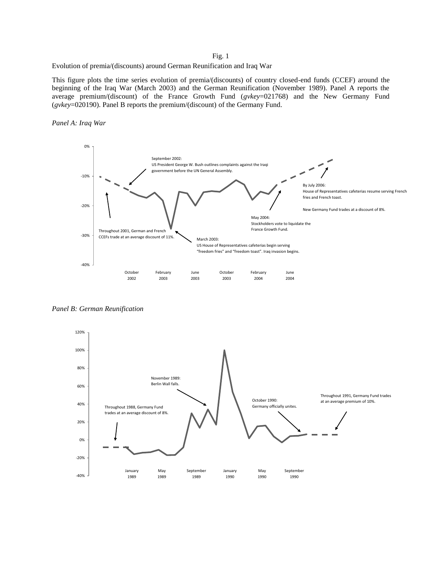## Fig. 1

#### Evolution of premia/(discounts) around German Reunification and Iraq War

This figure plots the time series evolution of premia/(discounts) of country closed-end funds (CCEF) around the beginning of the Iraq War (March 2003) and the German Reunification (November 1989). Panel A reports the average premium/(discount) of the France Growth Fund (*gvkey*=021768) and the New Germany Fund (*gvkey*=020190). Panel B reports the premium/(discount) of the Germany Fund.





*Panel B: German Reunification*

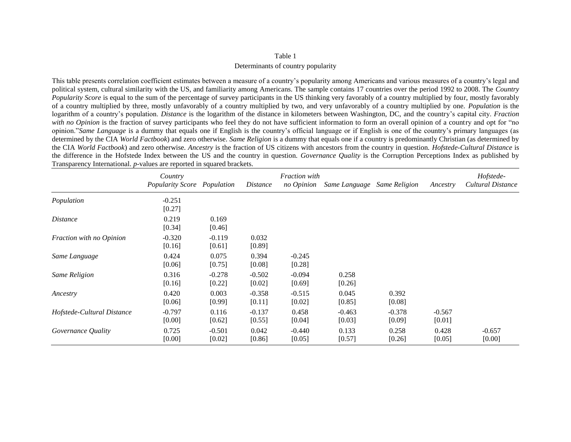#### Determinants of country popularity

This table presents correlation coefficient estimates between a measure of a country's popularity among Americans and various measures of a country's legal and political system, cultural similarity with the US, and familiarity among Americans. The sample contains 17 countries over the period 1992 to 2008. The *Country Popularity Score* is equal to the sum of the percentage of survey participants in the US thinking very favorably of a country multiplied by four, mostly favorably of a country multiplied by three, mostly unfavorably of a country multiplied by two, and very unfavorably of a country multiplied by one. *Population* is the logarithm of a country's population. *Distance* is the logarithm of the distance in kilometers between Washington, DC, and the country's capital city. *Fraction with no Opinion* is the fraction of survey participants who feel they do not have sufficient information to form an overall opinion of a country and opt for "no opinion."*Same Language* is a dummy that equals one if English is the country's official language or if English is one of the country's primary languages (as determined by the CIA *World Factbook*) and zero otherwise. *Same Religion* is a dummy that equals one if a country is predominantly Christian (as determined by the CIA *World Factbook*) and zero otherwise. *Ancestry* is the fraction of US citizens with ancestors from the country in question. *Hofstede-Cultural Distance* is the difference in the Hofstede Index between the US and the country in question. *Governance Quality* is the Corruption Perceptions Index as published by Transparency International. *p*-values are reported in squared brackets.

|                            | Country<br><b>Popularity Score Population</b> |                    | <i>Distance</i>    | <b>Fraction</b> with<br>no Opinion | Same Language      | <b>Same Religion</b> | Ancestry           | Hofstede-<br>Cultural Distance |
|----------------------------|-----------------------------------------------|--------------------|--------------------|------------------------------------|--------------------|----------------------|--------------------|--------------------------------|
| Population                 | $-0.251$<br>[0.27]                            |                    |                    |                                    |                    |                      |                    |                                |
| <i>Distance</i>            | 0.219<br>[0.34]                               | 0.169<br>[0.46]    |                    |                                    |                    |                      |                    |                                |
| Fraction with no Opinion   | $-0.320$<br>[0.16]                            | $-0.119$<br>[0.61] | 0.032<br>[0.89]    |                                    |                    |                      |                    |                                |
| Same Language              | 0.424<br>[0.06]                               | 0.075<br>[0.75]    | 0.394<br>[0.08]    | $-0.245$<br>[0.28]                 |                    |                      |                    |                                |
| <b>Same Religion</b>       | 0.316<br>[0.16]                               | $-0.278$<br>[0.22] | $-0.502$<br>[0.02] | $-0.094$<br>[0.69]                 | 0.258<br>[0.26]    |                      |                    |                                |
| Ancestry                   | 0.420<br>[0.06]                               | 0.003<br>[0.99]    | $-0.358$<br>[0.11] | $-0.515$<br>[0.02]                 | 0.045<br>[0.85]    | 0.392<br>[0.08]      |                    |                                |
| Hofstede-Cultural Distance | $-0.797$<br>[0.00]                            | 0.116<br>[0.62]    | $-0.137$<br>[0.55] | 0.458<br>[0.04]                    | $-0.463$<br>[0.03] | $-0.378$<br>[0.09]   | $-0.567$<br>[0.01] |                                |
| Governance Quality         | 0.725<br>[0.00]                               | $-0.501$<br>[0.02] | 0.042<br>[0.86]    | $-0.440$<br>[0.05]                 | 0.133<br>[0.57]    | 0.258<br>[0.26]      | 0.428<br>[0.05]    | $-0.657$<br>[0.00]             |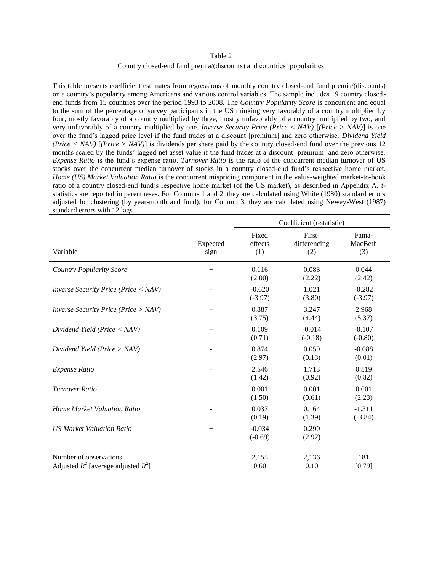#### Country closed-end fund premia/(discounts) and countries' popularities

This table presents coefficient estimates from regressions of monthly country closed-end fund premia/(discounts) on a country's popularity among Americans and various control variables. The sample includes 19 country closedend funds from 15 countries over the period 1993 to 2008. The *Country Popularity Score* is concurrent and equal to the sum of the percentage of survey participants in the US thinking very favorably of a country multiplied by four, mostly favorably of a country multiplied by three, mostly unfavorably of a country multiplied by two, and very unfavorably of a country multiplied by one. *Inverse Security Price (Price < NAV)* [*(Price > NAV)*] is one over the fund's lagged price level if the fund trades at a discount [premium] and zero otherwise. *Dividend Yield (Price < NAV)* [*(Price > NAV)*] is dividends per share paid by the country closed-end fund over the previous 12 months scaled by the funds' lagged net asset value if the fund trades at a discount [premium] and zero otherwise. *Expense Ratio* is the fund's expense ratio. *Turnover Ratio* is the ratio of the concurrent median turnover of US stocks over the concurrent median turnover of stocks in a country closed-end fund's respective home market. *Home (US) Market Valuation Ratio* is the concurrent mispricing component in the value-weighted market-to-book ratio of a country closed-end fund's respective home market (of the US market), as described in Appendix A. *t*statistics are reported in parentheses. For Columns 1 and 2, they are calculated using White (1980) standard errors adjusted for clustering (by year-month and fund); for Column 3, they are calculated using Newey-West (1987) standard errors with 12 lags.

|                                                                       |                  | Coefficient (t-statistic) |                               |                         |
|-----------------------------------------------------------------------|------------------|---------------------------|-------------------------------|-------------------------|
| Variable                                                              | Expected<br>sign | Fixed<br>effects<br>(1)   | First-<br>differencing<br>(2) | Fama-<br>MacBeth<br>(3) |
| <b>Country Popularity Score</b>                                       | $+$              | 0.116<br>(2.00)           | 0.083<br>(2.22)               | 0.044<br>(2.42)         |
| <i>Inverse Security Price (Price <math>\langle NAV \rangle</math></i> |                  | $-0.620$<br>$(-3.97)$     | 1.021<br>(3.80)               | $-0.282$<br>$(-3.97)$   |
| <i>Inverse Security Price (Price &gt; NAV)</i>                        | $+$              | 0.887<br>(3.75)           | 3.247<br>(4.44)               | 2.968<br>(5.37)         |
| Dividend Yield ( $Price < NAV$ )                                      | $+$              | 0.109<br>(0.71)           | $-0.014$<br>$(-0.18)$         | $-0.107$<br>$(-0.80)$   |
| Dividend Yield (Price $>$ NAV)                                        |                  | 0.874<br>(2.97)           | 0.059<br>(0.13)               | $-0.088$<br>(0.01)      |
| <b>Expense Ratio</b>                                                  |                  | 2.546<br>(1.42)           | 1.713<br>(0.92)               | 0.519<br>(0.82)         |
| Turnover Ratio                                                        | $+$              | 0.001<br>(1.50)           | 0.001<br>(0.61)               | 0.001<br>(2.23)         |
| Home Market Valuation Ratio                                           |                  | 0.037<br>(0.19)           | 0.164<br>(1.39)               | $-1.311$<br>$(-3.84)$   |
| <b>US Market Valuation Ratio</b>                                      | $+$              | $-0.034$<br>$(-0.69)$     | 0.290<br>(2.92)               |                         |
| Number of observations                                                |                  | 2,155                     | 2,136                         | 181                     |
| Adjusted $R^2$ [average adjusted $R^2$ ]                              |                  | 0.60                      | 0.10                          | [0.79]                  |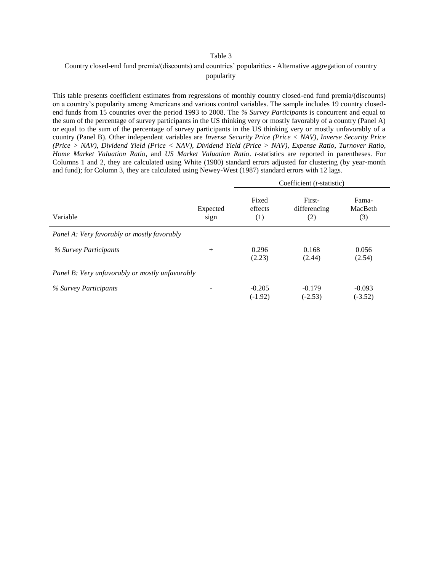## Country closed-end fund premia/(discounts) and countries' popularities - Alternative aggregation of country popularity

This table presents coefficient estimates from regressions of monthly country closed-end fund premia/(discounts) on a country's popularity among Americans and various control variables. The sample includes 19 country closedend funds from 15 countries over the period 1993 to 2008. The *% Survey Participants* is concurrent and equal to the sum of the percentage of survey participants in the US thinking very or mostly favorably of a country (Panel A) or equal to the sum of the percentage of survey participants in the US thinking very or mostly unfavorably of a country (Panel B). Other independent variables are *Inverse Security Price (Price < NAV)*, *Inverse Security Price (Price > NAV)*, *Dividend Yield (Price < NAV)*, *Dividend Yield (Price > NAV)*, *Expense Ratio*, *Turnover Ratio*, *Home Market Valuation Ratio*, and *US Market Valuation Ratio*. *t*-statistics are reported in parentheses. For Columns 1 and 2, they are calculated using White (1980) standard errors adjusted for clustering (by year-month and fund); for Column 3, they are calculated using Newey-West (1987) standard errors with 12 lags.

|                                                 |                  |                         | Coefficient ( <i>t</i> -statistic) |                         |
|-------------------------------------------------|------------------|-------------------------|------------------------------------|-------------------------|
| Variable                                        | Expected<br>sign | Fixed<br>effects<br>(1) | First-<br>differencing<br>(2)      | Fama-<br>MacBeth<br>(3) |
| Panel A: Very favorably or mostly favorably     |                  |                         |                                    |                         |
| % Survey Participants                           | $^{+}$           | 0.296<br>(2.23)         | 0.168<br>(2.44)                    | 0.056<br>(2.54)         |
| Panel B: Very unfavorably or mostly unfavorably |                  |                         |                                    |                         |
| % Survey Participants                           |                  | $-0.205$<br>$(-1.92)$   | $-0.179$<br>$(-2.53)$              | $-0.093$<br>$(-3.52)$   |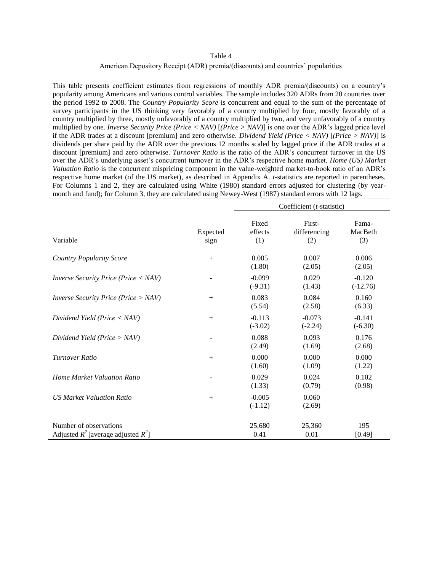#### American Depository Receipt (ADR) premia/(discounts) and countries' popularities

This table presents coefficient estimates from regressions of monthly ADR premia/(discounts) on a country's popularity among Americans and various control variables. The sample includes 320 ADRs from 20 countries over the period 1992 to 2008. The *Country Popularity Score* is concurrent and equal to the sum of the percentage of survey participants in the US thinking very favorably of a country multiplied by four, mostly favorably of a country multiplied by three, mostly unfavorably of a country multiplied by two, and very unfavorably of a country multiplied by one. *Inverse Security Price (Price < NAV)* [*(Price > NAV)*] is one over the ADR's lagged price level if the ADR trades at a discount [premium] and zero otherwise. *Dividend Yield (Price < NAV)* [*(Price > NAV)*] is dividends per share paid by the ADR over the previous 12 months scaled by lagged price if the ADR trades at a discount [premium] and zero otherwise. *Turnover Ratio* is the ratio of the ADR's concurrent turnover in the US over the ADR's underlying asset's concurrent turnover in the ADR's respective home market. *Home (US) Market Valuation Ratio* is the concurrent mispricing component in the value-weighted market-to-book ratio of an ADR's respective home market (of the US market), as described in Appendix A. *t*-statistics are reported in parentheses. For Columns 1 and 2, they are calculated using White (1980) standard errors adjusted for clustering (by yearmonth and fund); for Column 3, they are calculated using Newey-West (1987) standard errors with 12 lags.

|                                                                       |                  | Coefficient ( <i>t</i> -statistic) |                               |                         |  |
|-----------------------------------------------------------------------|------------------|------------------------------------|-------------------------------|-------------------------|--|
| Variable                                                              | Expected<br>sign | Fixed<br>effects<br>(1)            | First-<br>differencing<br>(2) | Fama-<br>MacBeth<br>(3) |  |
| <b>Country Popularity Score</b>                                       | $+$              | 0.005<br>(1.80)                    | 0.007<br>(2.05)               | 0.006<br>(2.05)         |  |
| <i>Inverse Security Price (Price <math>\langle NAV \rangle</math></i> |                  | $-0.099$<br>$(-9.31)$              | 0.029<br>(1.43)               | $-0.120$<br>$(-12.76)$  |  |
| <i>Inverse Security Price (Price &gt; NAV)</i>                        | $+$              | 0.083<br>(5.54)                    | 0.084<br>(2.58)               | 0.160<br>(6.33)         |  |
| Dividend Yield (Price $\langle NAV \rangle$                           | $^{+}$           | $-0.113$<br>$(-3.02)$              | $-0.073$<br>$(-2.24)$         | $-0.141$<br>$(-6.30)$   |  |
| Dividend Yield (Price $>$ NAV)                                        |                  | 0.088<br>(2.49)                    | 0.093<br>(1.69)               | 0.176<br>(2.68)         |  |
| <b>Turnover Ratio</b>                                                 | $+$              | 0.000<br>(1.60)                    | 0.000<br>(1.09)               | 0.000<br>(1.22)         |  |
| <b>Home Market Valuation Ratio</b>                                    |                  | 0.029<br>(1.33)                    | 0.024<br>(0.79)               | 0.102<br>(0.98)         |  |
| <b>US Market Valuation Ratio</b>                                      | $+$              | $-0.005$<br>$(-1.12)$              | 0.060<br>(2.69)               |                         |  |
| Number of observations<br>Adjusted $R^2$ [average adjusted $R^2$ ]    |                  | 25,680<br>0.41                     | 25,360<br>0.01                | 195<br>[0.49]           |  |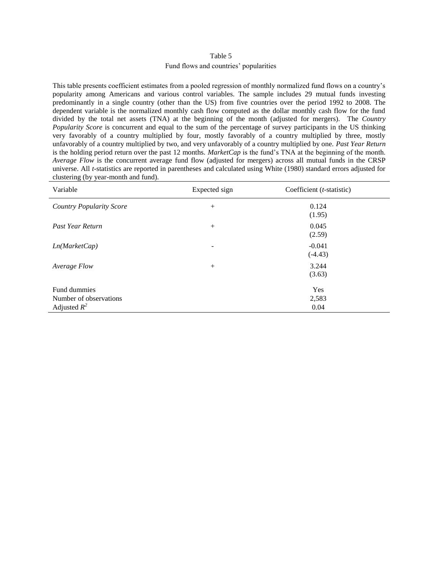## Fund flows and countries' popularities

This table presents coefficient estimates from a pooled regression of monthly normalized fund flows on a country's popularity among Americans and various control variables. The sample includes 29 mutual funds investing predominantly in a single country (other than the US) from five countries over the period 1992 to 2008. The dependent variable is the normalized monthly cash flow computed as the dollar monthly cash flow for the fund divided by the total net assets (TNA) at the beginning of the month (adjusted for mergers). The *Country Popularity Score* is concurrent and equal to the sum of the percentage of survey participants in the US thinking very favorably of a country multiplied by four, mostly favorably of a country multiplied by three, mostly unfavorably of a country multiplied by two, and very unfavorably of a country multiplied by one. *Past Year Return* is the holding period return over the past 12 months. *MarketCap* is the fund's TNA at the beginning of the month. *Average Flow* is the concurrent average fund flow (adjusted for mergers) across all mutual funds in the CRSP universe. All *t*-statistics are reported in parentheses and calculated using White (1980) standard errors adjusted for clustering (by year-month and fund).

| Variable                        | Expected sign            | Coefficient $(t\text{-statistic})$ |  |
|---------------------------------|--------------------------|------------------------------------|--|
| <b>Country Popularity Score</b> | $+$                      | 0.124<br>(1.95)                    |  |
| Past Year Return                | $+$                      | 0.045<br>(2.59)                    |  |
| Ln(MarkerCap)                   | $\overline{\phantom{a}}$ | $-0.041$<br>$(-4.43)$              |  |
| Average Flow                    | $+$                      | 3.244<br>(3.63)                    |  |
| Fund dummies                    |                          | Yes                                |  |
| Number of observations          |                          | 2,583                              |  |
| Adjusted $R^2$                  |                          | 0.04                               |  |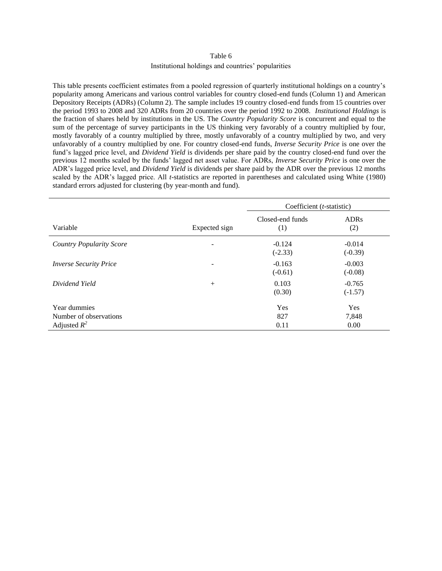### Institutional holdings and countries' popularities

This table presents coefficient estimates from a pooled regression of quarterly institutional holdings on a country's popularity among Americans and various control variables for country closed-end funds (Column 1) and American Depository Receipts (ADRs) (Column 2). The sample includes 19 country closed-end funds from 15 countries over the period 1993 to 2008 and 320 ADRs from 20 countries over the period 1992 to 2008. *Institutional Holdings* is the fraction of shares held by institutions in the US. The *Country Popularity Score* is concurrent and equal to the sum of the percentage of survey participants in the US thinking very favorably of a country multiplied by four, mostly favorably of a country multiplied by three, mostly unfavorably of a country multiplied by two, and very unfavorably of a country multiplied by one. For country closed-end funds, *Inverse Security Price* is one over the fund's lagged price level, and *Dividend Yield* is dividends per share paid by the country closed-end fund over the previous 12 months scaled by the funds' lagged net asset value. For ADRs, *Inverse Security Price* is one over the ADR's lagged price level, and *Dividend Yield* is dividends per share paid by the ADR over the previous 12 months scaled by the ADR's lagged price. All *t*-statistics are reported in parentheses and calculated using White (1980) standard errors adjusted for clustering (by year-month and fund).

|                                                          |                          | Coefficient $(t\text{-statistic})$ |                       |  |
|----------------------------------------------------------|--------------------------|------------------------------------|-----------------------|--|
| Variable                                                 | Expected sign            | Closed-end funds<br>(1)            | <b>ADRs</b><br>(2)    |  |
| <b>Country Popularity Score</b>                          | $\overline{\phantom{a}}$ | $-0.124$<br>$(-2.33)$              | $-0.014$<br>$(-0.39)$ |  |
| <b>Inverse Security Price</b>                            | $\overline{\phantom{a}}$ | $-0.163$<br>$(-0.61)$              | $-0.003$<br>$(-0.08)$ |  |
| Dividend Yield                                           | $^{+}$                   | 0.103<br>(0.30)                    | $-0.765$<br>$(-1.57)$ |  |
| Year dummies<br>Number of observations<br>Adjusted $R^2$ |                          | <b>Yes</b><br>827<br>0.11          | Yes<br>7,848<br>0.00  |  |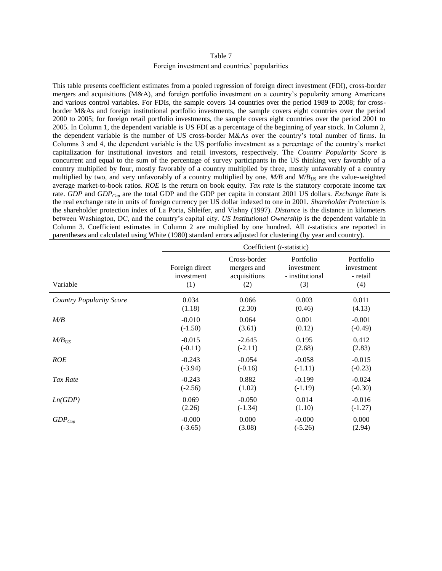#### Foreign investment and countries' popularities

This table presents coefficient estimates from a pooled regression of foreign direct investment (FDI), cross-border mergers and acquisitions (M&A), and foreign portfolio investment on a country's popularity among Americans and various control variables. For FDIs, the sample covers 14 countries over the period 1989 to 2008; for crossborder M&As and foreign institutional portfolio investments, the sample covers eight countries over the period 2000 to 2005; for foreign retail portfolio investments, the sample covers eight countries over the period 2001 to 2005. In Column 1, the dependent variable is US FDI as a percentage of the beginning of year stock. In Column 2, the dependent variable is the number of US cross-border M&As over the country's total number of firms. In Columns 3 and 4, the dependent variable is the US portfolio investment as a percentage of the country's market capitalization for institutional investors and retail investors, respectively. The *Country Popularity Score* is concurrent and equal to the sum of the percentage of survey participants in the US thinking very favorably of a country multiplied by four, mostly favorably of a country multiplied by three, mostly unfavorably of a country multiplied by two, and very unfavorably of a country multiplied by one. *M/B* and *M/BUS* are the value-weighted average market-to-book ratios. *ROE* is the return on book equity. *Tax rate* is the statutory corporate income tax rate. *GDP* and *GDPCap* are the total GDP and the GDP per capita in constant 2001 US dollars. *Exchange Rate* is the real exchange rate in units of foreign currency per US dollar indexed to one in 2001. *Shareholder Protection* is the shareholder protection index of La Porta, Shleifer, and Vishny (1997). *Distance* is the distance in kilometers between Washington, DC, and the country's capital city. *US Institutional Ownership* is the dependent variable in Column 3. Coefficient estimates in Column 2 are multiplied by one hundred. All *t*-statistics are reported in parentheses and calculated using White (1980) standard errors adjusted for clustering (by year and country).

|                                 |                                     | Coefficient (t-statistic)                          |                                                   |                                            |  |  |  |
|---------------------------------|-------------------------------------|----------------------------------------------------|---------------------------------------------------|--------------------------------------------|--|--|--|
| Variable                        | Foreign direct<br>investment<br>(1) | Cross-border<br>mergers and<br>acquisitions<br>(2) | Portfolio<br>investment<br>- institutional<br>(3) | Portfolio<br>investment<br>- retail<br>(4) |  |  |  |
| <b>Country Popularity Score</b> | 0.034                               | 0.066                                              | 0.003                                             | 0.011                                      |  |  |  |
|                                 | (1.18)                              | (2.30)                                             | (0.46)                                            | (4.13)                                     |  |  |  |
| $M\!/\!B$                       | $-0.010$                            | 0.064                                              | 0.001                                             | $-0.001$                                   |  |  |  |
|                                 | $(-1.50)$                           | (3.61)                                             | (0.12)                                            | $(-0.49)$                                  |  |  |  |
| $M/B$ <sub>US</sub>             | $-0.015$                            | $-2.645$                                           | 0.195                                             | 0.412                                      |  |  |  |
|                                 | $(-0.11)$                           | $(-2.11)$                                          | (2.68)                                            | (2.83)                                     |  |  |  |
| <b>ROE</b>                      | $-0.243$                            | $-0.054$                                           | $-0.058$                                          | $-0.015$                                   |  |  |  |
|                                 | $(-3.94)$                           | $(-0.16)$                                          | $(-1.11)$                                         | $(-0.23)$                                  |  |  |  |
| Tax Rate                        | $-0.243$                            | 0.882                                              | $-0.199$                                          | $-0.024$                                   |  |  |  |
|                                 | $(-2.56)$                           | (1.02)                                             | $(-1.19)$                                         | $(-0.30)$                                  |  |  |  |
| Ln(GDP)                         | 0.069                               | $-0.050$                                           | 0.014                                             | $-0.016$                                   |  |  |  |
|                                 | (2.26)                              | $(-1.34)$                                          | (1.10)                                            | $(-1.27)$                                  |  |  |  |
| $GDP_{Cap}$                     | $-0.000$                            | 0.000                                              | $-0.000$                                          | 0.000                                      |  |  |  |
|                                 | $(-3.65)$                           | (3.08)                                             | $(-5.26)$                                         | (2.94)                                     |  |  |  |